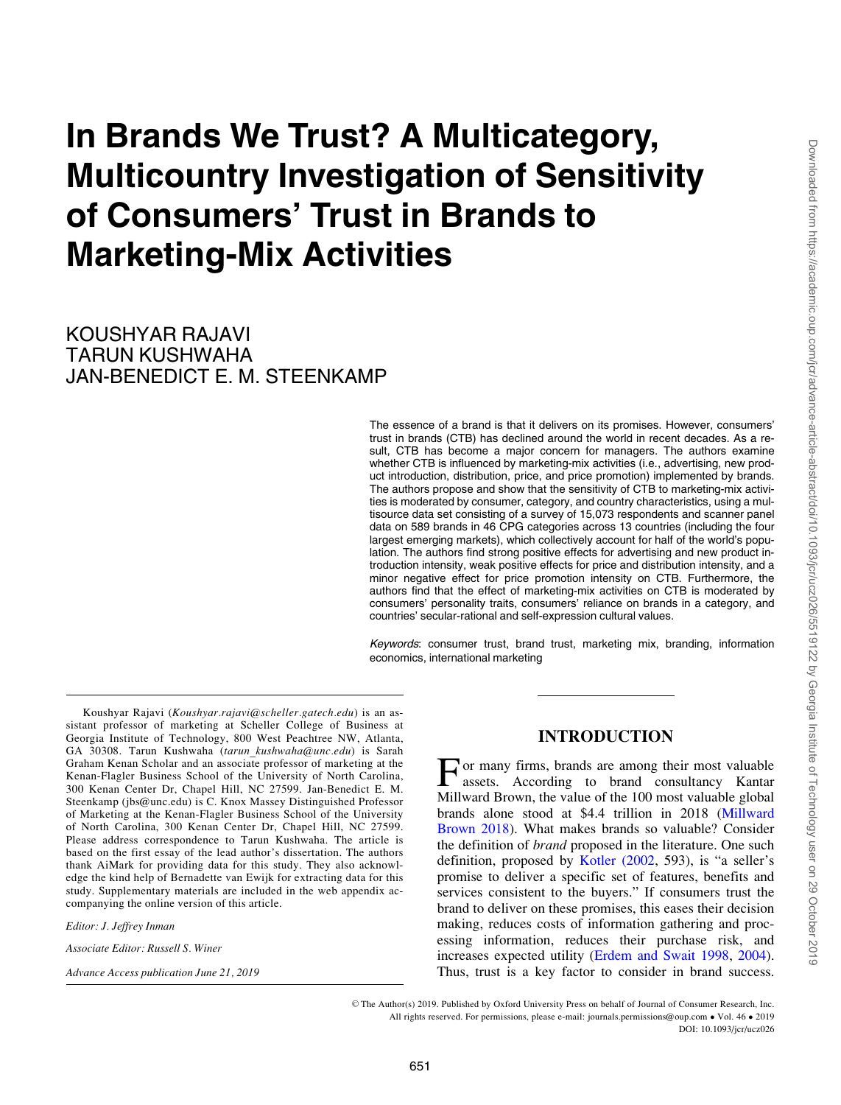# In Brands We Trust? A Multicategory, Multicountry Investigation of Sensitivity of Consumers' Trust in Brands to Marketing-Mix Activities

KOUSHYAR RAJAVI TARUN KUSHWAHA JAN-BENEDICT E. M. STEENKAMP

> The essence of a brand is that it delivers on its promises. However, consumers' trust in brands (CTB) has declined around the world in recent decades. As a result, CTB has become a major concern for managers. The authors examine whether CTB is influenced by marketing-mix activities (i.e., advertising, new product introduction, distribution, price, and price promotion) implemented by brands. The authors propose and show that the sensitivity of CTB to marketing-mix activities is moderated by consumer, category, and country characteristics, using a multisource data set consisting of a survey of 15,073 respondents and scanner panel data on 589 brands in 46 CPG categories across 13 countries (including the four largest emerging markets), which collectively account for half of the world's population. The authors find strong positive effects for advertising and new product introduction intensity, weak positive effects for price and distribution intensity, and a minor negative effect for price promotion intensity on CTB. Furthermore, the authors find that the effect of marketing-mix activities on CTB is moderated by consumers' personality traits, consumers' reliance on brands in a category, and countries' secular-rational and self-expression cultural values.

> Keywords: consumer trust, brand trust, marketing mix, branding, information economics, international marketing

Koushyar Rajavi (Koushyar.rajavi@scheller.gatech.edu) is an assistant professor of marketing at Scheller College of Business at Georgia Institute of Technology, 800 West Peachtree NW, Atlanta, GA 30308. Tarun Kushwaha (tarun\_kushwaha@unc.edu) is Sarah Graham Kenan Scholar and an associate professor of marketing at the Kenan-Flagler Business School of the University of North Carolina, 300 Kenan Center Dr, Chapel Hill, NC 27599. Jan-Benedict E. M. Steenkamp (jbs@unc.edu) is C. Knox Massey Distinguished Professor of Marketing at the Kenan-Flagler Business School of the University of North Carolina, 300 Kenan Center Dr, Chapel Hill, NC 27599. Please address correspondence to Tarun Kushwaha. The article is based on the first essay of the lead author's dissertation. The authors thank AiMark for providing data for this study. They also acknowledge the kind help of Bernadette van Ewijk for extracting data for this study. Supplementary materials are included in the web appendix accompanying the online version of this article.

Editor: J. Jeffrey Inman

Associate Editor: Russell S. Winer

Advance Access publication June 21, 2019

# INTRODUCTION

For many firms, brands are among their most valuable assets. According to brand consultancy Kantar Millward Brown, the value of the 100 most valuable global brands alone stood at \$4.4 trillion in 2018 [\(Millward](#page-18-0) [Brown 2018\)](#page-18-0). What makes brands so valuable? Consider the definition of brand proposed in the literature. One such definition, proposed by [Kotler \(2002,](#page-18-0) 593), is "a seller's promise to deliver a specific set of features, benefits and services consistent to the buyers." If consumers trust the brand to deliver on these promises, this eases their decision making, reduces costs of information gathering and processing information, reduces their purchase risk, and increases expected utility ([Erdem and Swait 1998](#page-17-0), [2004\)](#page-17-0). Thus, trust is a key factor to consider in brand success.

V<sup>C</sup> The Author(s) 2019. Published by Oxford University Press on behalf of Journal of Consumer Research, Inc. All rights reserved. For permissions, please e-mail: journals.permissions@oup.com • Vol. 46 • 2019 DOI: 10.1093/jcr/ucz026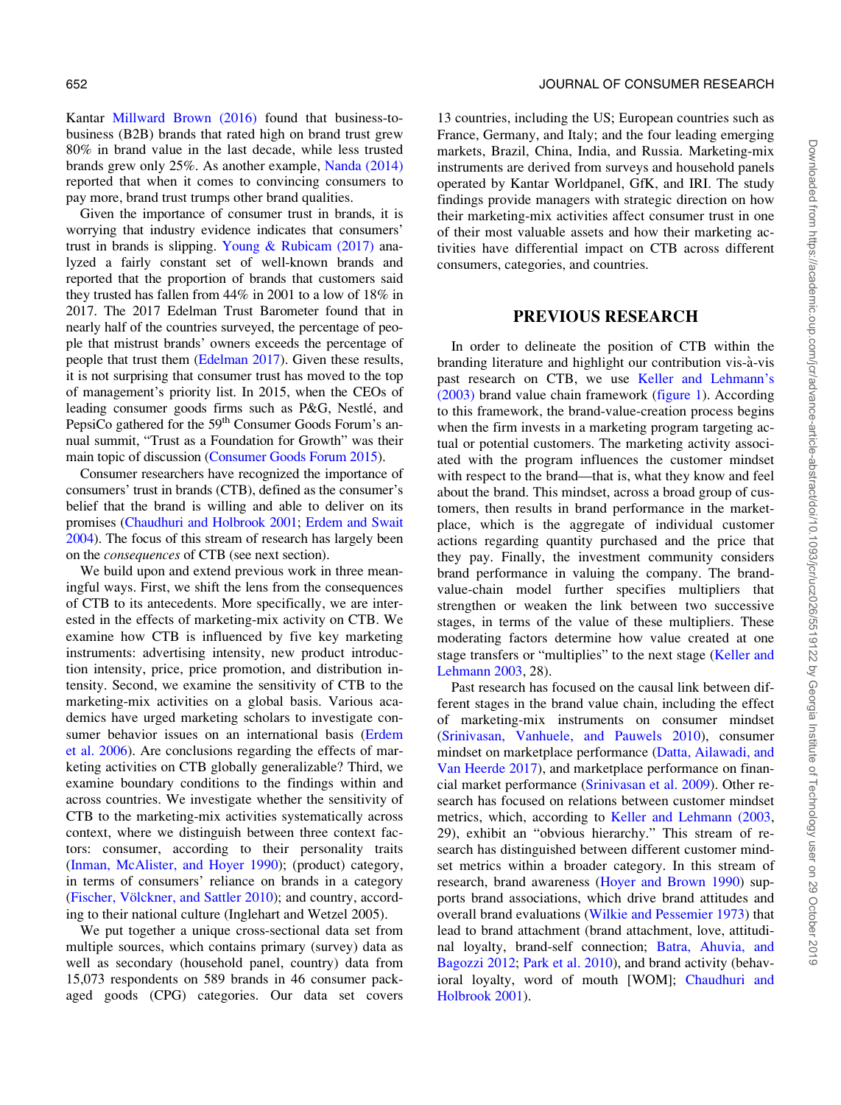Kantar [Millward Brown \(2016\)](#page-18-0) found that business-tobusiness (B2B) brands that rated high on brand trust grew 80% in brand value in the last decade, while less trusted brands grew only 25%. As another example, [Nanda \(2014\)](#page-18-0) reported that when it comes to convincing consumers to pay more, brand trust trumps other brand qualities.

Given the importance of consumer trust in brands, it is worrying that industry evidence indicates that consumers' trust in brands is slipping. Young & Rubicam  $(2017)$  analyzed a fairly constant set of well-known brands and reported that the proportion of brands that customers said they trusted has fallen from 44% in 2001 to a low of 18% in 2017. The 2017 Edelman Trust Barometer found that in nearly half of the countries surveyed, the percentage of people that mistrust brands' owners exceeds the percentage of people that trust them ([Edelman 2017](#page-17-0)). Given these results, it is not surprising that consumer trust has moved to the top of management's priority list. In 2015, when the CEOs of leading consumer goods firms such as P&G, Nestlé, and PepsiCo gathered for the 59<sup>th</sup> Consumer Goods Forum's annual summit, "Trust as a Foundation for Growth" was their main topic of discussion [\(Consumer Goods Forum 2015](#page-17-0)).

Consumer researchers have recognized the importance of consumers' trust in brands (CTB), defined as the consumer's belief that the brand is willing and able to deliver on its promises [\(Chaudhuri and Holbrook 2001;](#page-17-0) [Erdem and Swait](#page-17-0) [2004](#page-17-0)). The focus of this stream of research has largely been on the consequences of CTB (see next section).

We build upon and extend previous work in three meaningful ways. First, we shift the lens from the consequences of CTB to its antecedents. More specifically, we are interested in the effects of marketing-mix activity on CTB. We examine how CTB is influenced by five key marketing instruments: advertising intensity, new product introduction intensity, price, price promotion, and distribution intensity. Second, we examine the sensitivity of CTB to the marketing-mix activities on a global basis. Various academics have urged marketing scholars to investigate consumer behavior issues on an international basis ([Erdem](#page-17-0) [et al. 2006](#page-17-0)). Are conclusions regarding the effects of marketing activities on CTB globally generalizable? Third, we examine boundary conditions to the findings within and across countries. We investigate whether the sensitivity of CTB to the marketing-mix activities systematically across context, where we distinguish between three context factors: consumer, according to their personality traits [\(Inman, McAlister, and Hoyer 1990](#page-18-0)); (product) category, in terms of consumers' reliance on brands in a category (Fischer, Völckner, and Sattler 2010); and country, according to their national culture (Inglehart and Wetzel 2005).

We put together a unique cross-sectional data set from multiple sources, which contains primary (survey) data as well as secondary (household panel, country) data from 15,073 respondents on 589 brands in 46 consumer packaged goods (CPG) categories. Our data set covers

13 countries, including the US; European countries such as France, Germany, and Italy; and the four leading emerging markets, Brazil, China, India, and Russia. Marketing-mix instruments are derived from surveys and household panels operated by Kantar Worldpanel, GfK, and IRI. The study findings provide managers with strategic direction on how their marketing-mix activities affect consumer trust in one of their most valuable assets and how their marketing activities have differential impact on CTB across different consumers, categories, and countries.

#### PREVIOUS RESEARCH

In order to delineate the position of CTB within the branding literature and highlight our contribution vis-a-vis past research on CTB, we use [Keller and Lehmann's](#page-18-0) [\(2003\)](#page-18-0) brand value chain framework [\(figure 1](#page-2-0)). According to this framework, the brand-value-creation process begins when the firm invests in a marketing program targeting actual or potential customers. The marketing activity associated with the program influences the customer mindset with respect to the brand—that is, what they know and feel about the brand. This mindset, across a broad group of customers, then results in brand performance in the marketplace, which is the aggregate of individual customer actions regarding quantity purchased and the price that they pay. Finally, the investment community considers brand performance in valuing the company. The brandvalue-chain model further specifies multipliers that strengthen or weaken the link between two successive stages, in terms of the value of these multipliers. These moderating factors determine how value created at one stage transfers or "multiplies" to the next stage [\(Keller and](#page-18-0) [Lehmann 2003](#page-18-0), 28).

Past research has focused on the causal link between different stages in the brand value chain, including the effect of marketing-mix instruments on consumer mindset ([Srinivasan, Vanhuele, and Pauwels 2010](#page-19-0)), consumer mindset on marketplace performance [\(Datta, Ailawadi, and](#page-17-0) [Van Heerde 2017\)](#page-17-0), and marketplace performance on financial market performance ([Srinivasan et al. 2009\)](#page-19-0). Other research has focused on relations between customer mindset metrics, which, according to [Keller and Lehmann \(2003](#page-18-0), 29), exhibit an "obvious hierarchy." This stream of research has distinguished between different customer mindset metrics within a broader category. In this stream of research, brand awareness [\(Hoyer and Brown 1990\)](#page-18-0) supports brand associations, which drive brand attitudes and overall brand evaluations [\(Wilkie and Pessemier 1973](#page-19-0)) that lead to brand attachment (brand attachment, love, attitudinal loyalty, brand-self connection; [Batra, Ahuvia, and](#page-17-0) [Bagozzi 2012](#page-17-0); [Park et al. 2010\)](#page-18-0), and brand activity (behavioral loyalty, word of mouth [WOM]; [Chaudhuri and](#page-17-0) [Holbrook 2001\)](#page-17-0).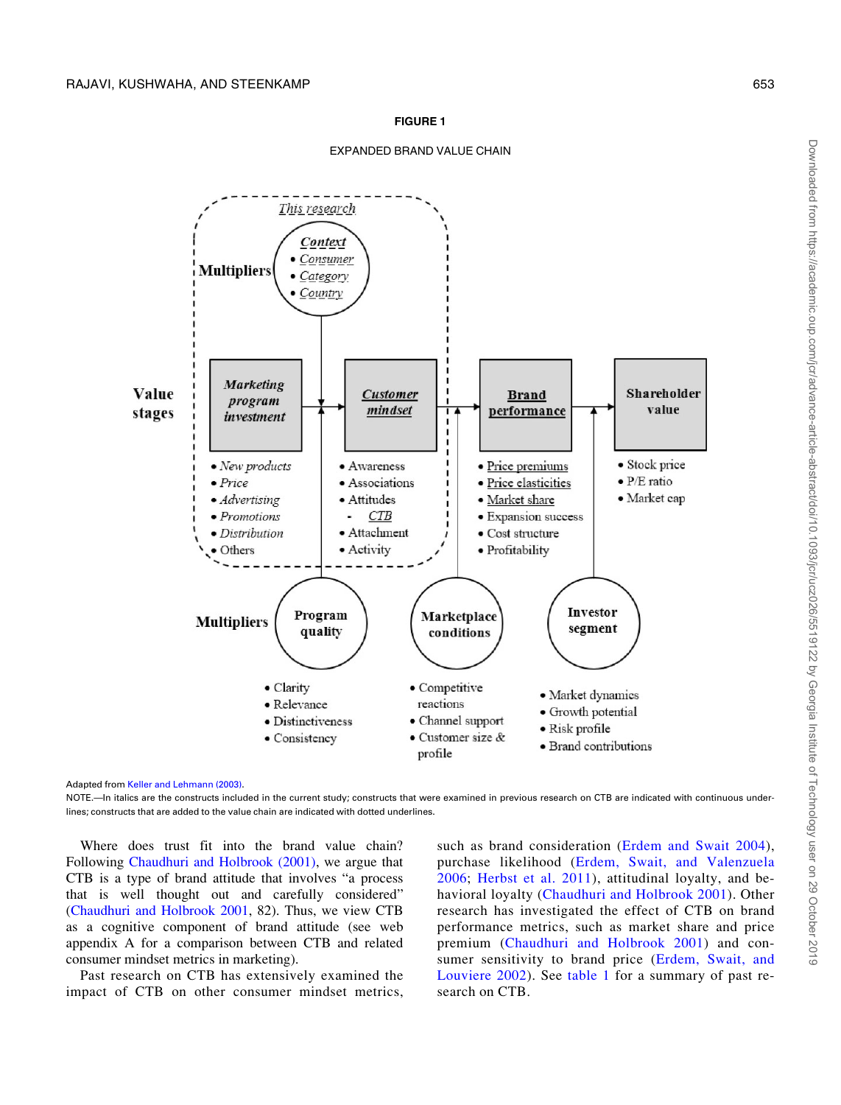#### FIGURE 1



<span id="page-2-0"></span>

Adapted from [Keller and Lehmann \(2003\)](#page-18-0).

NOTE.—In italics are the constructs included in the current study; constructs that were examined in previous research on CTB are indicated with continuous underlines; constructs that are added to the value chain are indicated with dotted underlines.

Where does trust fit into the brand value chain? Following [Chaudhuri and Holbrook \(2001\),](#page-17-0) we argue that CTB is a type of brand attitude that involves "a process that is well thought out and carefully considered" [\(Chaudhuri and Holbrook 2001](#page-17-0), 82). Thus, we view CTB as a cognitive component of brand attitude (see web appendix A for a comparison between CTB and related consumer mindset metrics in marketing).

Past research on CTB has extensively examined the impact of CTB on other consumer mindset metrics,

such as brand consideration ([Erdem and Swait 2004](#page-17-0)), purchase likelihood ([Erdem, Swait, and Valenzuela](#page-17-0) [2006;](#page-17-0) [Herbst et al. 2011](#page-18-0)), attitudinal loyalty, and behavioral loyalty [\(Chaudhuri and Holbrook 2001](#page-17-0)). Other research has investigated the effect of CTB on brand performance metrics, such as market share and price premium ([Chaudhuri and Holbrook 2001\)](#page-17-0) and consumer sensitivity to brand price ([Erdem, Swait, and](#page-17-0) [Louviere 2002](#page-17-0)). See [table 1](#page-3-0) for a summary of past research on CTB.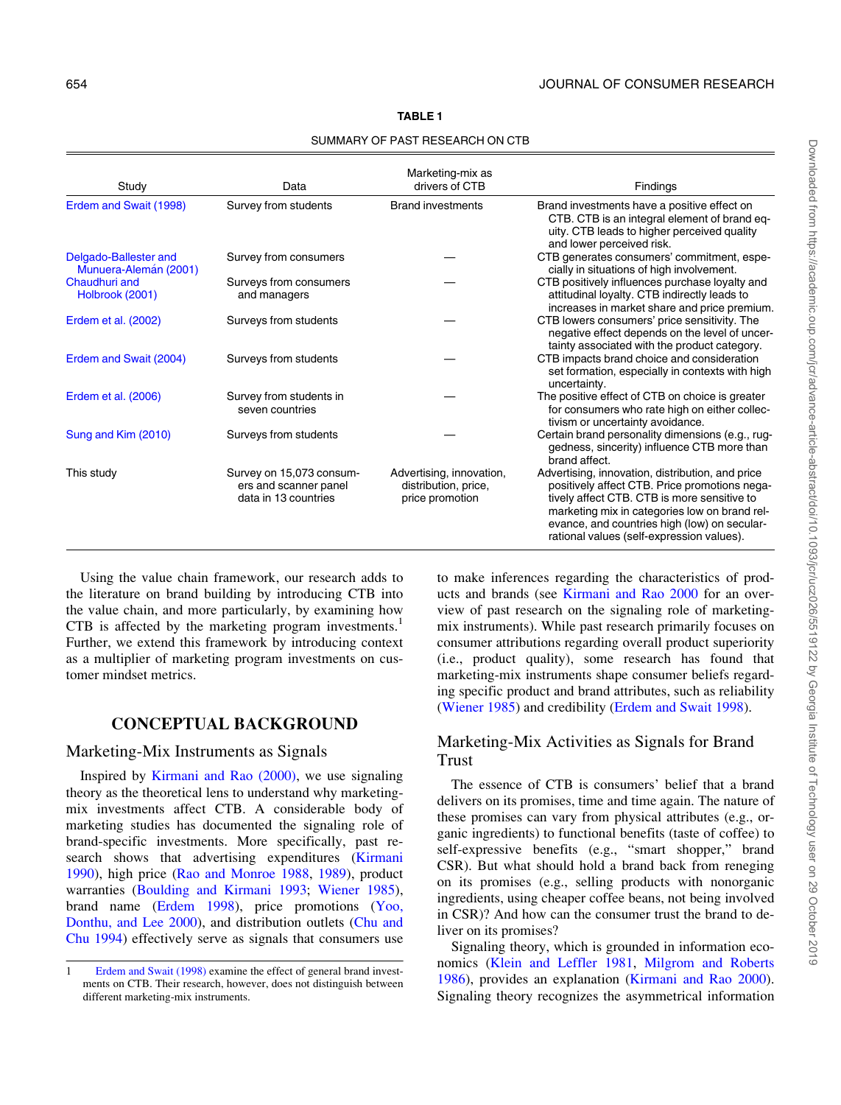<span id="page-3-0"></span>

| Study                                          | Data                                                                      | Marketing-mix as<br>drivers of CTB                                  | Findings                                                                                                                                                                                                                                                                                       |
|------------------------------------------------|---------------------------------------------------------------------------|---------------------------------------------------------------------|------------------------------------------------------------------------------------------------------------------------------------------------------------------------------------------------------------------------------------------------------------------------------------------------|
| Erdem and Swait (1998)                         | Survey from students                                                      | <b>Brand investments</b>                                            | Brand investments have a positive effect on<br>CTB. CTB is an integral element of brand eq-<br>uity. CTB leads to higher perceived quality<br>and lower perceived risk.                                                                                                                        |
| Delgado-Ballester and<br>Munuera-Alemán (2001) | Survey from consumers                                                     |                                                                     | CTB generates consumers' commitment, espe-<br>cially in situations of high involvement.                                                                                                                                                                                                        |
| Chaudhuri and<br>Holbrook (2001)               | Surveys from consumers<br>and managers                                    |                                                                     | CTB positively influences purchase loyalty and<br>attitudinal loyalty. CTB indirectly leads to<br>increases in market share and price premium.                                                                                                                                                 |
| Erdem et al. (2002)                            | Surveys from students                                                     |                                                                     | CTB lowers consumers' price sensitivity. The<br>negative effect depends on the level of uncer-<br>tainty associated with the product category.                                                                                                                                                 |
| Erdem and Swait (2004)                         | Surveys from students                                                     |                                                                     | CTB impacts brand choice and consideration<br>set formation, especially in contexts with high<br>uncertainty.                                                                                                                                                                                  |
| Erdem et al. (2006)                            | Survey from students in<br>seven countries                                |                                                                     | The positive effect of CTB on choice is greater<br>for consumers who rate high on either collec-<br>tivism or uncertainty avoidance.                                                                                                                                                           |
| Sung and Kim (2010)                            | Surveys from students                                                     |                                                                     | Certain brand personality dimensions (e.g., rug-<br>gedness, sincerity) influence CTB more than<br>brand affect.                                                                                                                                                                               |
| This study                                     | Survey on 15,073 consum-<br>ers and scanner panel<br>data in 13 countries | Advertising, innovation,<br>distribution, price,<br>price promotion | Advertising, innovation, distribution, and price<br>positively affect CTB. Price promotions nega-<br>tively affect CTB. CTB is more sensitive to<br>marketing mix in categories low on brand rel-<br>evance, and countries high (low) on secular-<br>rational values (self-expression values). |

TABLE 1

SUMMARY OF PAST RESEARCH ON CTB

Using the value chain framework, our research adds to the literature on brand building by introducing CTB into the value chain, and more particularly, by examining how CTB is affected by the marketing program investments.<sup>1</sup> Further, we extend this framework by introducing context as a multiplier of marketing program investments on customer mindset metrics.

# CONCEPTUAL BACKGROUND

# Marketing-Mix Instruments as Signals

Inspired by [Kirmani and Rao \(2000\),](#page-18-0) we use signaling theory as the theoretical lens to understand why marketingmix investments affect CTB. A considerable body of marketing studies has documented the signaling role of brand-specific investments. More specifically, past research shows that advertising expenditures [\(Kirmani](#page-18-0) [1990\)](#page-18-0), high price [\(Rao and Monroe 1988](#page-18-0), [1989](#page-18-0)), product warranties ([Boulding and Kirmani 1993](#page-17-0); [Wiener 1985\)](#page-19-0), brand name [\(Erdem 1998](#page-17-0)), price promotions ([Yoo,](#page-19-0) [Donthu, and Lee 2000\)](#page-19-0), and distribution outlets ([Chu and](#page-17-0) [Chu 1994\)](#page-17-0) effectively serve as signals that consumers use

to make inferences regarding the characteristics of products and brands (see [Kirmani and Rao 2000](#page-18-0) for an overview of past research on the signaling role of marketingmix instruments). While past research primarily focuses on consumer attributions regarding overall product superiority (i.e., product quality), some research has found that marketing-mix instruments shape consumer beliefs regarding specific product and brand attributes, such as reliability ([Wiener 1985](#page-19-0)) and credibility [\(Erdem and Swait 1998\)](#page-17-0).

# Marketing-Mix Activities as Signals for Brand Trust

The essence of CTB is consumers' belief that a brand delivers on its promises, time and time again. The nature of these promises can vary from physical attributes (e.g., organic ingredients) to functional benefits (taste of coffee) to self-expressive benefits (e.g., "smart shopper," brand CSR). But what should hold a brand back from reneging on its promises (e.g., selling products with nonorganic ingredients, using cheaper coffee beans, not being involved in CSR)? And how can the consumer trust the brand to deliver on its promises?

Signaling theory, which is grounded in information economics [\(Klein and Leffler 1981](#page-18-0), [Milgrom and Roberts](#page-18-0) [1986\)](#page-18-0), provides an explanation [\(Kirmani and Rao 2000\)](#page-18-0). Signaling theory recognizes the asymmetrical information

<sup>1</sup> [Erdem and Swait \(1998\)](#page-17-0) examine the effect of general brand investments on CTB. Their research, however, does not distinguish between different marketing-mix instruments.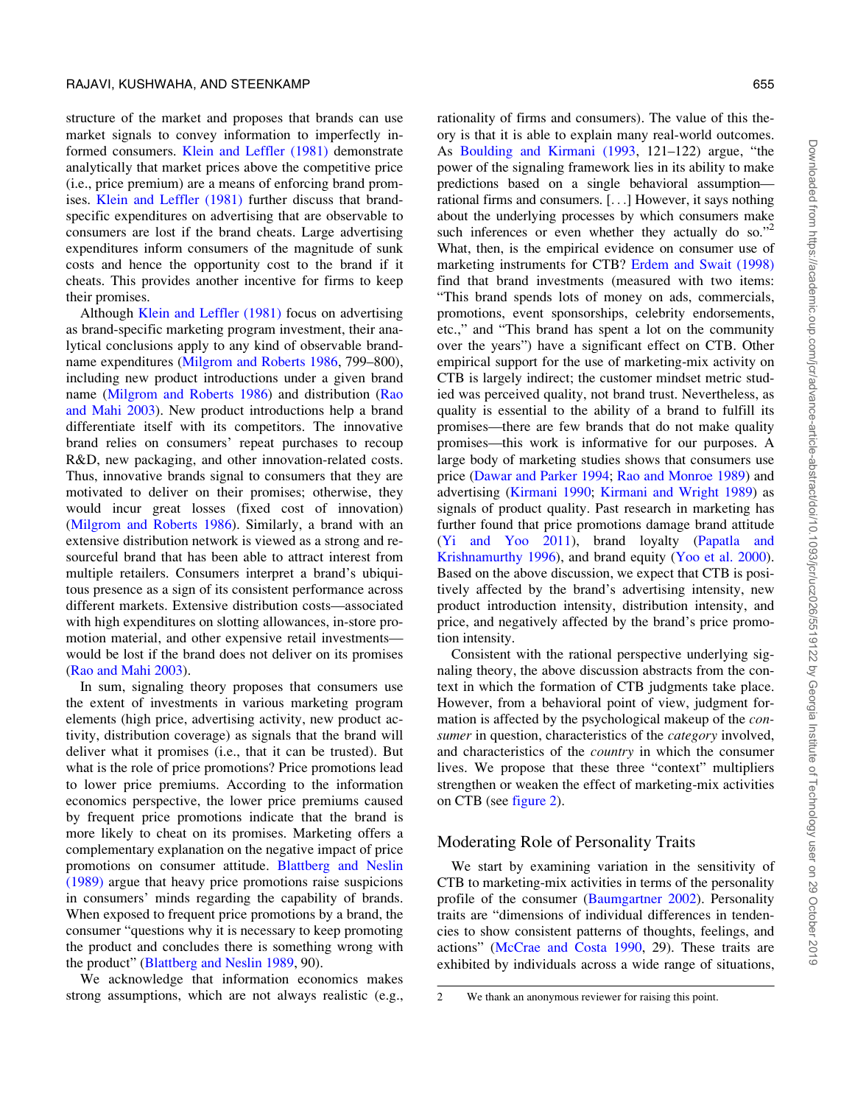structure of the market and proposes that brands can use market signals to convey information to imperfectly informed consumers. [Klein and Leffler \(1981\)](#page-18-0) demonstrate analytically that market prices above the competitive price (i.e., price premium) are a means of enforcing brand promises. [Klein and Leffler \(1981\)](#page-18-0) further discuss that brandspecific expenditures on advertising that are observable to consumers are lost if the brand cheats. Large advertising expenditures inform consumers of the magnitude of sunk costs and hence the opportunity cost to the brand if it cheats. This provides another incentive for firms to keep their promises.

Although [Klein and Leffler \(1981\)](#page-18-0) focus on advertising as brand-specific marketing program investment, their analytical conclusions apply to any kind of observable brandname expenditures [\(Milgrom and Roberts 1986](#page-18-0), 799–800), including new product introductions under a given brand name [\(Milgrom and Roberts 1986\)](#page-18-0) and distribution [\(Rao](#page-18-0) [and Mahi 2003\)](#page-18-0). New product introductions help a brand differentiate itself with its competitors. The innovative brand relies on consumers' repeat purchases to recoup R&D, new packaging, and other innovation-related costs. Thus, innovative brands signal to consumers that they are motivated to deliver on their promises; otherwise, they would incur great losses (fixed cost of innovation) [\(Milgrom and Roberts 1986](#page-18-0)). Similarly, a brand with an extensive distribution network is viewed as a strong and resourceful brand that has been able to attract interest from multiple retailers. Consumers interpret a brand's ubiquitous presence as a sign of its consistent performance across different markets. Extensive distribution costs—associated with high expenditures on slotting allowances, in-store promotion material, and other expensive retail investments would be lost if the brand does not deliver on its promises [\(Rao and Mahi 2003](#page-18-0)).

In sum, signaling theory proposes that consumers use the extent of investments in various marketing program elements (high price, advertising activity, new product activity, distribution coverage) as signals that the brand will deliver what it promises (i.e., that it can be trusted). But what is the role of price promotions? Price promotions lead to lower price premiums. According to the information economics perspective, the lower price premiums caused by frequent price promotions indicate that the brand is more likely to cheat on its promises. Marketing offers a complementary explanation on the negative impact of price promotions on consumer attitude. [Blattberg and Neslin](#page-17-0) [\(1989\)](#page-17-0) argue that heavy price promotions raise suspicions in consumers' minds regarding the capability of brands. When exposed to frequent price promotions by a brand, the consumer "questions why it is necessary to keep promoting the product and concludes there is something wrong with the product" ([Blattberg and Neslin 1989](#page-17-0), 90).

We acknowledge that information economics makes strong assumptions, which are not always realistic (e.g.,

rationality of firms and consumers). The value of this theory is that it is able to explain many real-world outcomes. As [Boulding and Kirmani \(1993](#page-17-0), 121–122) argue, "the power of the signaling framework lies in its ability to make predictions based on a single behavioral assumption rational firms and consumers. [...] However, it says nothing about the underlying processes by which consumers make such inferences or even whether they actually do so."<sup>2</sup> What, then, is the empirical evidence on consumer use of marketing instruments for CTB? [Erdem and Swait \(1998\)](#page-17-0) find that brand investments (measured with two items: "This brand spends lots of money on ads, commercials, promotions, event sponsorships, celebrity endorsements, etc.," and "This brand has spent a lot on the community over the years") have a significant effect on CTB. Other empirical support for the use of marketing-mix activity on CTB is largely indirect; the customer mindset metric studied was perceived quality, not brand trust. Nevertheless, as quality is essential to the ability of a brand to fulfill its promises—there are few brands that do not make quality promises—this work is informative for our purposes. A large body of marketing studies shows that consumers use price ([Dawar and Parker 1994;](#page-17-0) [Rao and Monroe 1989\)](#page-18-0) and advertising [\(Kirmani 1990;](#page-18-0) [Kirmani and Wright 1989](#page-18-0)) as signals of product quality. Past research in marketing has further found that price promotions damage brand attitude ([Yi and Yoo 2011\)](#page-19-0), brand loyalty [\(Papatla and](#page-18-0) [Krishnamurthy 1996\)](#page-18-0), and brand equity [\(Yoo et al. 2000\)](#page-19-0). Based on the above discussion, we expect that CTB is positively affected by the brand's advertising intensity, new product introduction intensity, distribution intensity, and price, and negatively affected by the brand's price promotion intensity.

Consistent with the rational perspective underlying signaling theory, the above discussion abstracts from the context in which the formation of CTB judgments take place. However, from a behavioral point of view, judgment formation is affected by the psychological makeup of the consumer in question, characteristics of the *category* involved, and characteristics of the country in which the consumer lives. We propose that these three "context" multipliers strengthen or weaken the effect of marketing-mix activities on CTB (see [figure 2](#page-5-0)).

#### Moderating Role of Personality Traits

We start by examining variation in the sensitivity of CTB to marketing-mix activities in terms of the personality profile of the consumer ([Baumgartner 2002](#page-17-0)). Personality traits are "dimensions of individual differences in tendencies to show consistent patterns of thoughts, feelings, and actions" ([McCrae and Costa 1990,](#page-18-0) 29). These traits are exhibited by individuals across a wide range of situations,

<sup>2</sup> We thank an anonymous reviewer for raising this point.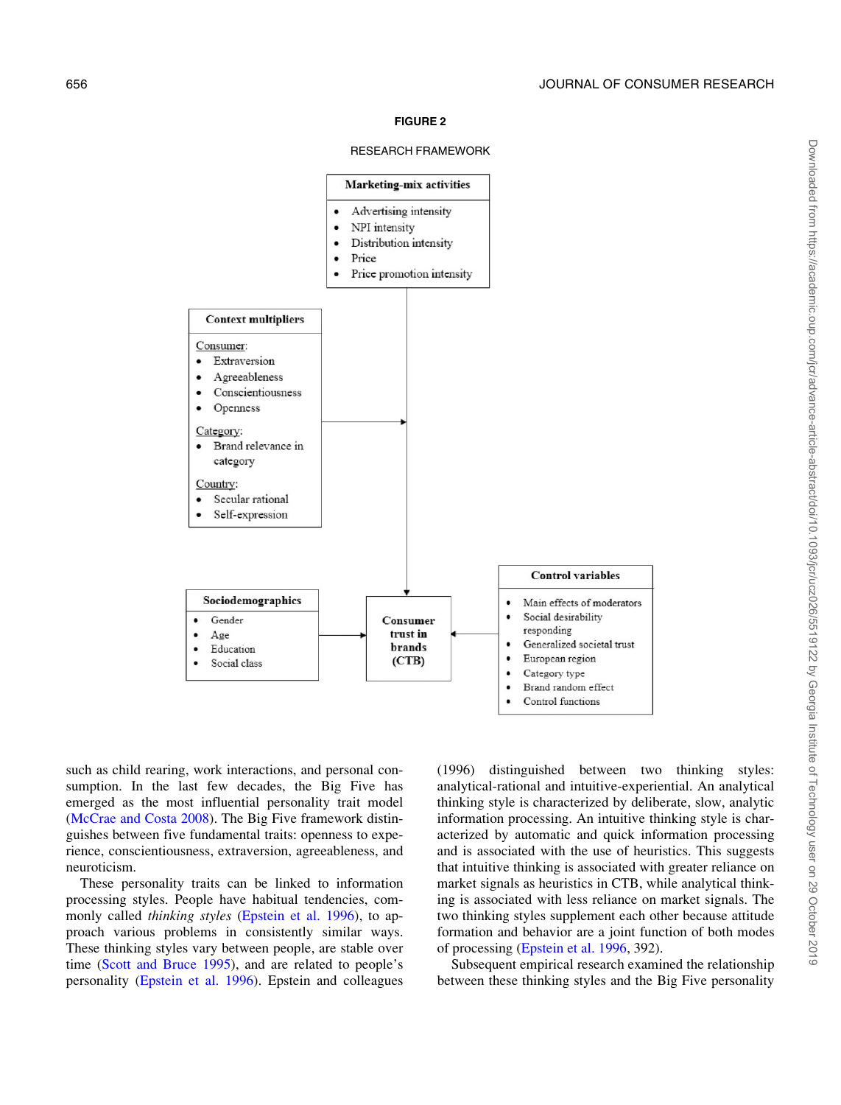#### FIGURE 2

#### RESEARCH FRAMEWORK

<span id="page-5-0"></span>

such as child rearing, work interactions, and personal consumption. In the last few decades, the Big Five has emerged as the most influential personality trait model [\(McCrae and Costa 2008](#page-18-0)). The Big Five framework distinguishes between five fundamental traits: openness to experience, conscientiousness, extraversion, agreeableness, and neuroticism.

These personality traits can be linked to information processing styles. People have habitual tendencies, commonly called *thinking styles* [\(Epstein et al. 1996\)](#page-17-0), to approach various problems in consistently similar ways. These thinking styles vary between people, are stable over time [\(Scott and Bruce 1995](#page-19-0)), and are related to people's personality [\(Epstein et al. 1996\)](#page-17-0). Epstein and colleagues

(1996) distinguished between two thinking styles: analytical-rational and intuitive-experiential. An analytical thinking style is characterized by deliberate, slow, analytic information processing. An intuitive thinking style is characterized by automatic and quick information processing and is associated with the use of heuristics. This suggests that intuitive thinking is associated with greater reliance on market signals as heuristics in CTB, while analytical thinking is associated with less reliance on market signals. The two thinking styles supplement each other because attitude formation and behavior are a joint function of both modes of processing [\(Epstein et al. 1996,](#page-17-0) 392).

Subsequent empirical research examined the relationship between these thinking styles and the Big Five personality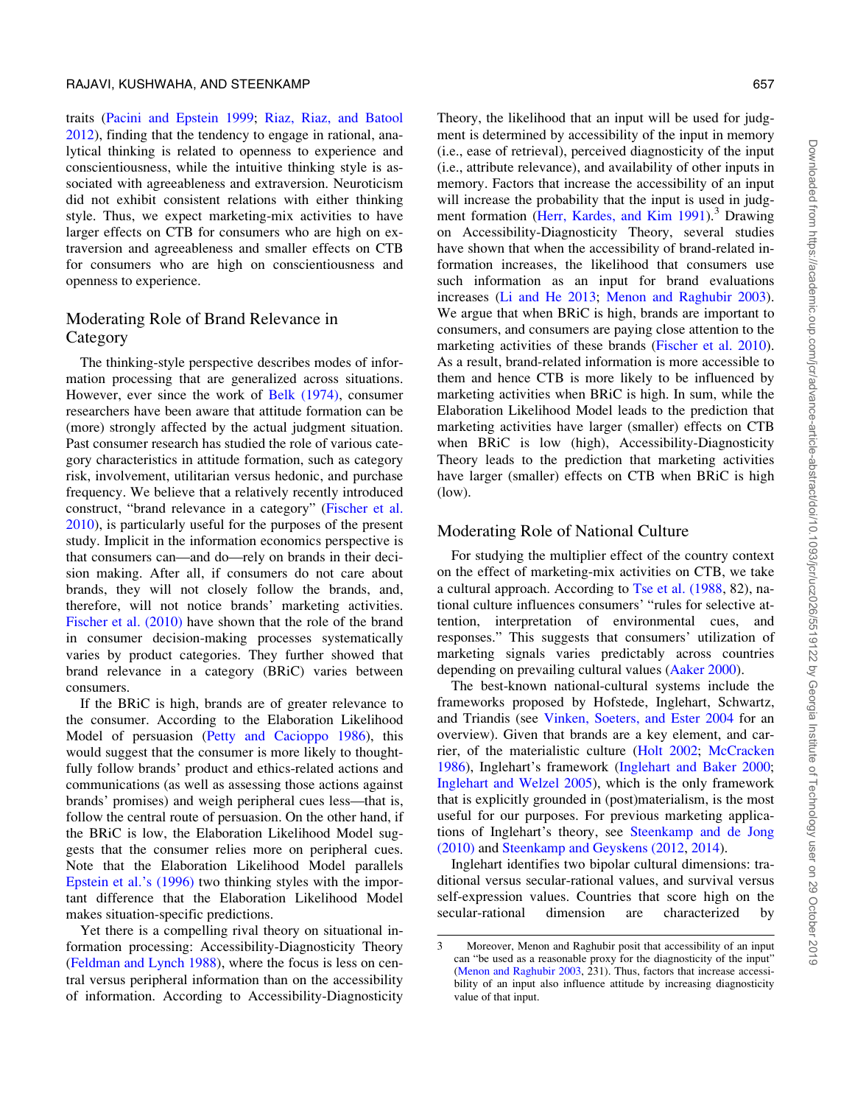traits [\(Pacini and Epstein 1999;](#page-18-0) [Riaz, Riaz, and Batool](#page-18-0) [2012\)](#page-18-0), finding that the tendency to engage in rational, analytical thinking is related to openness to experience and conscientiousness, while the intuitive thinking style is associated with agreeableness and extraversion. Neuroticism did not exhibit consistent relations with either thinking style. Thus, we expect marketing-mix activities to have larger effects on CTB for consumers who are high on extraversion and agreeableness and smaller effects on CTB for consumers who are high on conscientiousness and openness to experience.

# Moderating Role of Brand Relevance in Category

The thinking-style perspective describes modes of information processing that are generalized across situations. However, ever since the work of [Belk \(1974\),](#page-17-0) consumer researchers have been aware that attitude formation can be (more) strongly affected by the actual judgment situation. Past consumer research has studied the role of various category characteristics in attitude formation, such as category risk, involvement, utilitarian versus hedonic, and purchase frequency. We believe that a relatively recently introduced construct, "brand relevance in a category" ([Fischer et al.](#page-18-0) [2010\)](#page-18-0), is particularly useful for the purposes of the present study. Implicit in the information economics perspective is that consumers can—and do—rely on brands in their decision making. After all, if consumers do not care about brands, they will not closely follow the brands, and, therefore, will not notice brands' marketing activities. [Fischer et al. \(2010\)](#page-18-0) have shown that the role of the brand in consumer decision-making processes systematically varies by product categories. They further showed that brand relevance in a category (BRiC) varies between consumers.

If the BRiC is high, brands are of greater relevance to the consumer. According to the Elaboration Likelihood Model of persuasion [\(Petty and Cacioppo 1986\)](#page-18-0), this would suggest that the consumer is more likely to thoughtfully follow brands' product and ethics-related actions and communications (as well as assessing those actions against brands' promises) and weigh peripheral cues less—that is, follow the central route of persuasion. On the other hand, if the BRiC is low, the Elaboration Likelihood Model suggests that the consumer relies more on peripheral cues. Note that the Elaboration Likelihood Model parallels [Epstein et al.'s \(1996\)](#page-17-0) two thinking styles with the important difference that the Elaboration Likelihood Model makes situation-specific predictions.

Yet there is a compelling rival theory on situational information processing: Accessibility-Diagnosticity Theory [\(Feldman and Lynch 1988](#page-18-0)), where the focus is less on central versus peripheral information than on the accessibility of information. According to Accessibility-Diagnosticity

Theory, the likelihood that an input will be used for judgment is determined by accessibility of the input in memory (i.e., ease of retrieval), perceived diagnosticity of the input (i.e., attribute relevance), and availability of other inputs in memory. Factors that increase the accessibility of an input will increase the probability that the input is used in judg-ment formation [\(Herr, Kardes, and Kim 1991\)](#page-18-0).<sup>3</sup> Drawing on Accessibility-Diagnosticity Theory, several studies have shown that when the accessibility of brand-related information increases, the likelihood that consumers use such information as an input for brand evaluations increases [\(Li and He 2013](#page-18-0); [Menon and Raghubir 2003\)](#page-18-0). We argue that when BRiC is high, brands are important to consumers, and consumers are paying close attention to the marketing activities of these brands ([Fischer et al. 2010\)](#page-18-0). As a result, brand-related information is more accessible to them and hence CTB is more likely to be influenced by marketing activities when BRiC is high. In sum, while the Elaboration Likelihood Model leads to the prediction that marketing activities have larger (smaller) effects on CTB when BRiC is low (high), Accessibility-Diagnosticity Theory leads to the prediction that marketing activities have larger (smaller) effects on CTB when BRiC is high (low).

#### Moderating Role of National Culture

For studying the multiplier effect of the country context on the effect of marketing-mix activities on CTB, we take a cultural approach. According to Tse et al.  $(1988, 82)$ , national culture influences consumers' "rules for selective attention, interpretation of environmental cues, and responses." This suggests that consumers' utilization of marketing signals varies predictably across countries depending on prevailing cultural values [\(Aaker 2000\)](#page-17-0).

The best-known national-cultural systems include the frameworks proposed by Hofstede, Inglehart, Schwartz, and Triandis (see [Vinken, Soeters, and Ester 2004](#page-19-0) for an overview). Given that brands are a key element, and carrier, of the materialistic culture ([Holt 2002](#page-18-0); [McCracken](#page-18-0) [1986\)](#page-18-0), Inglehart's framework ([Inglehart and Baker 2000;](#page-18-0) [Inglehart and Welzel 2005\)](#page-18-0), which is the only framework that is explicitly grounded in (post)materialism, is the most useful for our purposes. For previous marketing applications of Inglehart's theory, see [Steenkamp and de Jong](#page-19-0) [\(2010\)](#page-19-0) and [Steenkamp and Geyskens \(2012,](#page-19-0) [2014\)](#page-19-0).

Inglehart identifies two bipolar cultural dimensions: traditional versus secular-rational values, and survival versus self-expression values. Countries that score high on the secular-rational dimension are characterized by

<sup>3</sup> Moreover, Menon and Raghubir posit that accessibility of an input can "be used as a reasonable proxy for the diagnosticity of the input" [\(Menon and Raghubir 2003,](#page-18-0) 231). Thus, factors that increase accessibility of an input also influence attitude by increasing diagnosticity value of that input.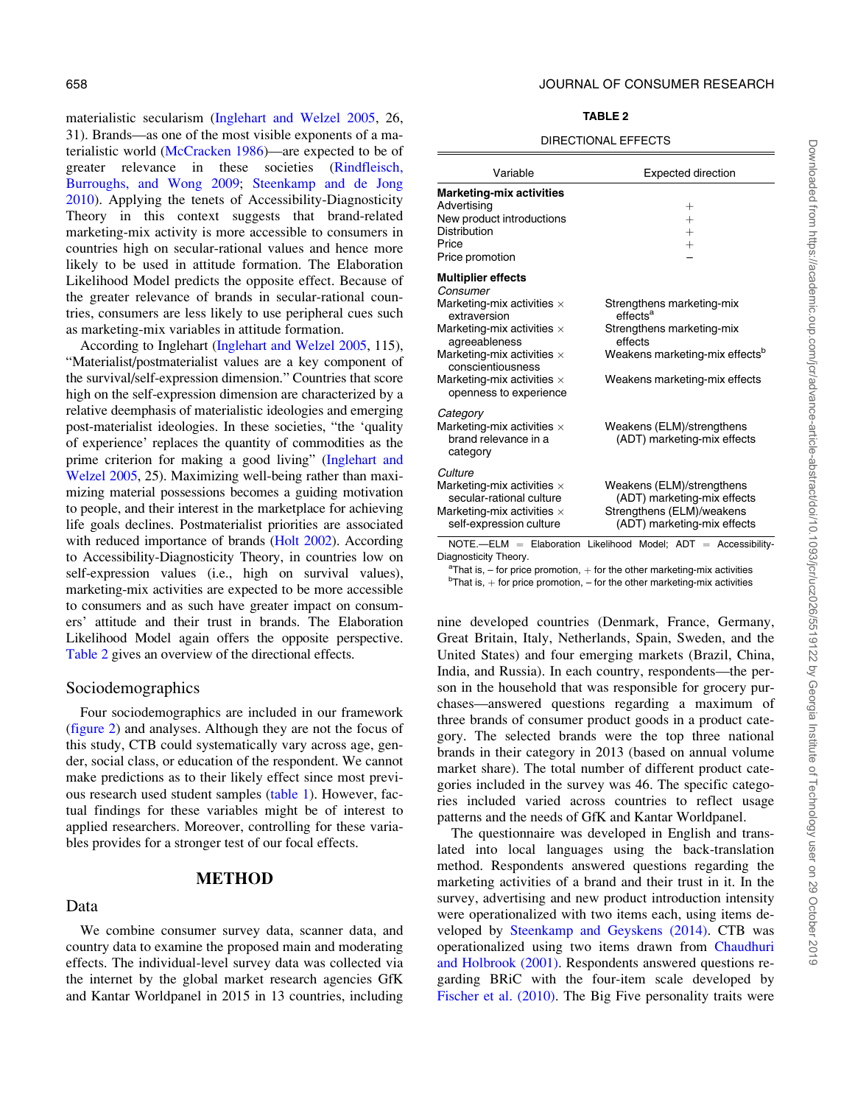materialistic secularism [\(Inglehart and Welzel 2005,](#page-18-0) 26, 31). Brands—as one of the most visible exponents of a materialistic world ([McCracken 1986\)](#page-18-0)—are expected to be of greater relevance in these societies ([Rindfleisch,](#page-18-0) [Burroughs, and Wong 2009;](#page-18-0) [Steenkamp and de Jong](#page-19-0) [2010\)](#page-19-0). Applying the tenets of Accessibility-Diagnosticity Theory in this context suggests that brand-related marketing-mix activity is more accessible to consumers in countries high on secular-rational values and hence more likely to be used in attitude formation. The Elaboration Likelihood Model predicts the opposite effect. Because of the greater relevance of brands in secular-rational countries, consumers are less likely to use peripheral cues such as marketing-mix variables in attitude formation.

According to Inglehart ([Inglehart and Welzel 2005,](#page-18-0) 115), "Materialist/postmaterialist values are a key component of the survival/self-expression dimension." Countries that score high on the self-expression dimension are characterized by a relative deemphasis of materialistic ideologies and emerging post-materialist ideologies. In these societies, "the 'quality of experience' replaces the quantity of commodities as the prime criterion for making a good living" [\(Inglehart and](#page-18-0) [Welzel 2005](#page-18-0), 25). Maximizing well-being rather than maximizing material possessions becomes a guiding motivation to people, and their interest in the marketplace for achieving life goals declines. Postmaterialist priorities are associated with reduced importance of brands [\(Holt 2002\)](#page-18-0). According to Accessibility-Diagnosticity Theory, in countries low on self-expression values (i.e., high on survival values), marketing-mix activities are expected to be more accessible to consumers and as such have greater impact on consumers' attitude and their trust in brands. The Elaboration Likelihood Model again offers the opposite perspective. Table 2 gives an overview of the directional effects.

#### Sociodemographics

Four sociodemographics are included in our framework [\(figure 2](#page-5-0)) and analyses. Although they are not the focus of this study, CTB could systematically vary across age, gender, social class, or education of the respondent. We cannot make predictions as to their likely effect since most previous research used student samples ([table 1](#page-3-0)). However, factual findings for these variables might be of interest to applied researchers. Moreover, controlling for these variables provides for a stronger test of our focal effects.

#### METHOD

#### Data

658 JOURNAL OF CONSUMER RESEARCH

#### TABLE 2

#### DIRECTIONAL EFFECTS

| Variable                                                                                                                                                                                                                                                                  | <b>Expected direction</b>                                                                                                                                                |
|---------------------------------------------------------------------------------------------------------------------------------------------------------------------------------------------------------------------------------------------------------------------------|--------------------------------------------------------------------------------------------------------------------------------------------------------------------------|
| <b>Marketing-mix activities</b><br>Advertising<br>New product introductions<br>Distribution<br>Price<br>Price promotion                                                                                                                                                   | $^{+}$<br>$\ddag$<br>$^{+}$<br>$^{+}$                                                                                                                                    |
| <b>Multiplier effects</b><br>Consumer<br>Marketing-mix activities $\times$<br>extraversion<br>Marketing-mix activities $\times$<br>agreeableness<br>Marketing-mix activities $\times$<br>conscientiousness<br>Marketing-mix activities $\times$<br>openness to experience | Strengthens marketing-mix<br>effects <sup>a</sup><br>Strengthens marketing-mix<br>effects<br>Weakens marketing-mix effects <sup>b</sup><br>Weakens marketing-mix effects |
| Category<br>Marketing-mix activities $\times$<br>brand relevance in a<br>category                                                                                                                                                                                         | Weakens (ELM)/strengthens<br>(ADT) marketing-mix effects                                                                                                                 |
| Culture<br>Marketing-mix activities $\times$<br>secular-rational culture<br>Marketing-mix activities $\times$<br>self-expression culture                                                                                                                                  | Weakens (ELM)/strengthens<br>(ADT) marketing-mix effects<br>Strengthens (ELM)/weakens<br>(ADT) marketing-mix effects                                                     |
|                                                                                                                                                                                                                                                                           | $NOTE. - ELM = Elaboration Likelihood Model; ADT = Accessibility-$                                                                                                       |

Diagnosticity Theory.

 ${}^{\text{a}}$ That is, – for price promotion,  $+$  for the other marketing-mix activities  $b$ That is,  $+$  for price promotion,  $-$  for the other marketing-mix activities

nine developed countries (Denmark, France, Germany, Great Britain, Italy, Netherlands, Spain, Sweden, and the United States) and four emerging markets (Brazil, China, India, and Russia). In each country, respondents—the person in the household that was responsible for grocery purchases—answered questions regarding a maximum of three brands of consumer product goods in a product category. The selected brands were the top three national brands in their category in 2013 (based on annual volume market share). The total number of different product categories included in the survey was 46. The specific categories included varied across countries to reflect usage patterns and the needs of GfK and Kantar Worldpanel.

The questionnaire was developed in English and translated into local languages using the back-translation method. Respondents answered questions regarding the marketing activities of a brand and their trust in it. In the survey, advertising and new product introduction intensity were operationalized with two items each, using items developed by [Steenkamp and Geyskens \(2014\).](#page-19-0) CTB was operationalized using two items drawn from [Chaudhuri](#page-17-0) [and Holbrook \(2001\)](#page-17-0). Respondents answered questions regarding BRiC with the four-item scale developed by [Fischer et al. \(2010\)](#page-18-0). The Big Five personality traits were

We combine consumer survey data, scanner data, and country data to examine the proposed main and moderating effects. The individual-level survey data was collected via the internet by the global market research agencies GfK and Kantar Worldpanel in 2015 in 13 countries, including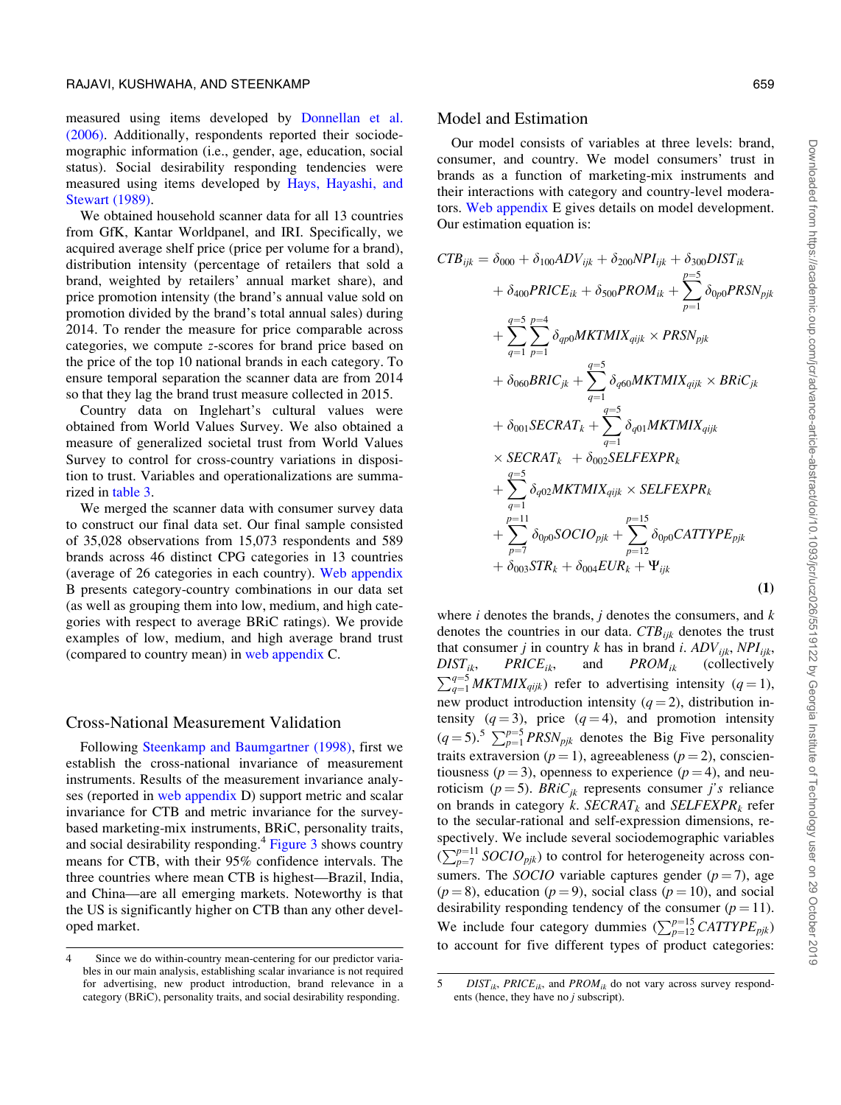<span id="page-8-0"></span>measured using items developed by [Donnellan et al.](#page-17-0) [\(2006\)](#page-17-0). Additionally, respondents reported their sociodemographic information (i.e., gender, age, education, social status). Social desirability responding tendencies were measured using items developed by [Hays, Hayashi, and](#page-18-0) [Stewart \(1989\).](#page-18-0)

We obtained household scanner data for all 13 countries from GfK, Kantar Worldpanel, and IRI. Specifically, we acquired average shelf price (price per volume for a brand), distribution intensity (percentage of retailers that sold a brand, weighted by retailers' annual market share), and price promotion intensity (the brand's annual value sold on promotion divided by the brand's total annual sales) during 2014. To render the measure for price comparable across categories, we compute z-scores for brand price based on the price of the top 10 national brands in each category. To ensure temporal separation the scanner data are from 2014 so that they lag the brand trust measure collected in 2015.

Country data on Inglehart's cultural values were obtained from World Values Survey. We also obtained a measure of generalized societal trust from World Values Survey to control for cross-country variations in disposition to trust. Variables and operationalizations are summarized in [table 3.](#page-9-0)

We merged the scanner data with consumer survey data to construct our final data set. Our final sample consisted of 35,028 observations from 15,073 respondents and 589 brands across 46 distinct CPG categories in 13 countries (average of 26 categories in each country). [Web appendix](https://academic.oup.com/jcr/article-lookup/doi/10.1093/jcr/ucz026#supplementary-data) B presents category-country combinations in our data set (as well as grouping them into low, medium, and high categories with respect to average BRiC ratings). We provide examples of low, medium, and high average brand trust (compared to country mean) in [web appendix](https://academic.oup.com/jcr/article-lookup/doi/10.1093/jcr/ucz026#supplementary-data) C.

#### Cross-National Measurement Validation

Following [Steenkamp and Baumgartner \(1998\),](#page-19-0) first we establish the cross-national invariance of measurement instruments. Results of the measurement invariance analyses (reported in [web appendix](https://academic.oup.com/jcr/article-lookup/doi/10.1093/jcr/ucz026#supplementary-data) D) support metric and scalar invariance for CTB and metric invariance for the surveybased marketing-mix instruments, BRiC, personality traits, and social desirability responding.<sup>4</sup> [Figure 3](#page-10-0) shows country means for CTB, with their 95% confidence intervals. The three countries where mean CTB is highest—Brazil, India, and China—are all emerging markets. Noteworthy is that the US is significantly higher on CTB than any other developed market.

#### Model and Estimation

Our model consists of variables at three levels: brand, consumer, and country. We model consumers' trust in brands as a function of marketing-mix instruments and their interactions with category and country-level moderators. [Web appendix](https://academic.oup.com/jcr/article-lookup/doi/10.1093/jcr/ucz026#supplementary-data) E gives details on model development. Our estimation equation is:

$$
CTB_{ijk} = \delta_{000} + \delta_{100} ADV_{ijk} + \delta_{200} NPI_{ijk} + \delta_{300} DIST_{ik}
$$
  
+  $\delta_{400} PRICE_{ik} + \delta_{500} PROM_{ik} + \sum_{p=1}^{p=5} \delta_{0p0} PRSN_{pjk}$   
+  $\sum_{q=1}^{q=5} \sum_{p=1}^{p=4} \delta_{qp0} MKTMIX_{qijk} \times PRSN_{pjk}$   
+  $\delta_{060} BRIC_{jk} + \sum_{q=1}^{q=5} \delta_{q60} MKTMIX_{qijk} \times BRiC_{jk}$   
+  $\delta_{001} SECART_k + \sum_{q=1}^{q=5} \delta_{q01} MKTMIX_{qijk}$   
 $\times SECART_k + \delta_{002} SELEEXPR_k$   
+  $\sum_{q=1}^{q=5} \delta_{q02} MKTMIX_{qijk} \times SELEEXPR_k$   
+  $\sum_{p=1}^{p=11} \delta_{0p0} SOCIO_{pjk} + \sum_{p=12}^{p=15} \delta_{0p0} CATTYPE_{pjk}$   
+  $\delta_{003} STR_k + \delta_{004} EUR_k + \Psi_{ijk}$  (1)

where  $i$  denotes the brands,  $j$  denotes the consumers, and  $k$ denotes the countries in our data.  $CTB_{iik}$  denotes the trust that consumer j in country k has in brand i.  $ADV_{ijk}$ ,  $NPI_{ijk}$ ,  $DIST_{ik}$ ,  $PRICE_{ik}$ , and  $PROM_{ik}$  (collectively  $PRICE_{ik}$ , and  $\sum_{q=1}^{q=5} MKTMIX_{qijk}$  refer to advertising intensity  $(q=1)$ , new product introduction intensity  $(q = 2)$ , distribution intensity  $(q = 3)$ , price  $(q = 4)$ , and promotion intensity  $(q = 5)$ .<sup>5</sup>  $\sum_{p=1}^{p=5} PRSN_{pjk}$  denotes the Big Five personality traits extraversion ( $p = 1$ ), agreeableness ( $p = 2$ ), conscientiousness ( $p = 3$ ), openness to experience ( $p = 4$ ), and neuroticism ( $p = 5$ ). BRiC<sub>jk</sub> represents consumer j's reliance on brands in category k. SECRAT<sub>k</sub> and SELFEXPR<sub>k</sub> refer to the secular-rational and self-expression dimensions, respectively. We include several sociodemographic variables  $\sum_{p=7}^{p=11}$  SOCIO<sub>pjk</sub>) to control for heterogeneity across consumers. The *SOCIO* variable captures gender  $(p = 7)$ , age  $(p = 8)$ , education  $(p = 9)$ , social class  $(p = 10)$ , and social desirability responding tendency of the consumer  $(p = 11)$ . We include four category dummies  $(\sum_{p=12}^{p=15} CATTYPE_{pjk})$ to account for five different types of product categories:

<sup>4</sup> Since we do within-country mean-centering for our predictor variables in our main analysis, establishing scalar invariance is not required for advertising, new product introduction, brand relevance in a category (BRiC), personality traits, and social desirability responding.

<sup>5</sup> DIST<sub>ik</sub>, PRICE<sub>ik</sub>, and PROM<sub>ik</sub> do not vary across survey respondents (hence, they have no j subscript).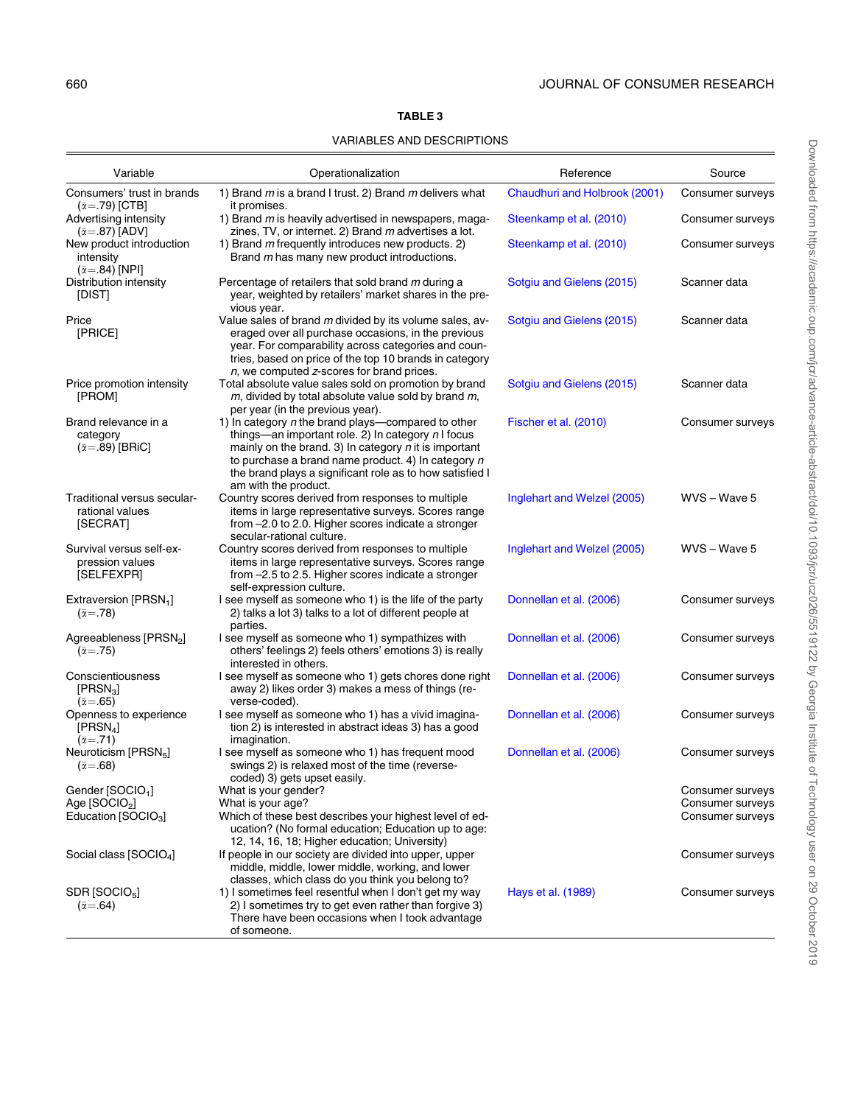# TABLE 3

#### VARIABLES AND DESCRIPTIONS

<span id="page-9-0"></span>

| Variable                                                                 | Operationalization                                                                                                                                                                                                                                                                                                | Reference                     | Source                               |
|--------------------------------------------------------------------------|-------------------------------------------------------------------------------------------------------------------------------------------------------------------------------------------------------------------------------------------------------------------------------------------------------------------|-------------------------------|--------------------------------------|
| Consumers' trust in brands<br>$(\bar{\alpha} = .79)$ [CTB]               | 1) Brand $m$ is a brand I trust. 2) Brand $m$ delivers what<br>it promises.                                                                                                                                                                                                                                       | Chaudhuri and Holbrook (2001) | Consumer surveys                     |
| Advertising intensity<br>$(\bar{\alpha} = .87)$ [ADV]                    | 1) Brand m is heavily advertised in newspapers, maga-<br>zines, TV, or internet. 2) Brand m advertises a lot.                                                                                                                                                                                                     | Steenkamp et al. (2010)       | Consumer surveys                     |
| New product introduction<br>intensity<br>$(\bar{\alpha} = .84)$ [NPI]    | 1) Brand m frequently introduces new products. 2)<br>Brand m has many new product introductions.                                                                                                                                                                                                                  | Steenkamp et al. (2010)       | Consumer surveys                     |
| Distribution intensity<br>[DIST]                                         | Percentage of retailers that sold brand m during a<br>year, weighted by retailers' market shares in the pre-<br>vious year.                                                                                                                                                                                       | Sotgiu and Gielens (2015)     | Scanner data                         |
| Price<br>[PRICE]                                                         | Value sales of brand m divided by its volume sales, av-<br>eraged over all purchase occasions, in the previous<br>year. For comparability across categories and coun-<br>tries, based on price of the top 10 brands in category<br>n, we computed z-scores for brand prices.                                      | Sotgiu and Gielens (2015)     | Scanner data                         |
| Price promotion intensity<br>[PROM]                                      | Total absolute value sales sold on promotion by brand<br>$m$ , divided by total absolute value sold by brand $m$ ,<br>per year (in the previous year).                                                                                                                                                            | Sotgiu and Gielens (2015)     | Scanner data                         |
| Brand relevance in a<br>category<br>$(\bar{\alpha} = .89)$ [BRiC]        | 1) In category $n$ the brand plays-compared to other<br>things—an important role. 2) In category $n$ I focus<br>mainly on the brand. 3) In category $n$ it is important<br>to purchase a brand name product. 4) In category n<br>the brand plays a significant role as to how satisfied I<br>am with the product. | Fischer et al. (2010)         | Consumer surveys                     |
| Traditional versus secular-<br>rational values<br>[SECRAT]               | Country scores derived from responses to multiple<br>items in large representative surveys. Scores range<br>from -2.0 to 2.0. Higher scores indicate a stronger<br>secular-rational culture.                                                                                                                      | Inglehart and Welzel (2005)   | WVS-Wave 5                           |
| Survival versus self-ex-<br>pression values<br>[SELFEXPR]                | Country scores derived from responses to multiple<br>items in large representative surveys. Scores range<br>from -2.5 to 2.5. Higher scores indicate a stronger<br>self-expression culture.                                                                                                                       | Inglehart and Welzel (2005)   | WVS-Wave 5                           |
| Extraversion [PRSN <sub>1</sub> ]<br>$(\bar{\alpha} = .78)$              | I see myself as someone who 1) is the life of the party<br>2) talks a lot 3) talks to a lot of different people at<br>parties.                                                                                                                                                                                    | Donnellan et al. (2006)       | Consumer surveys                     |
| Agreeableness [PRSN <sub>2</sub> ]<br>$(\bar{\alpha} = .75)$             | I see myself as someone who 1) sympathizes with<br>others' feelings 2) feels others' emotions 3) is really<br>interested in others.                                                                                                                                                                               | Donnellan et al. (2006)       | Consumer surveys                     |
| Conscientiousness<br>[PRSN <sub>3</sub> ]<br>$(\bar{\alpha} = .65)$      | I see myself as someone who 1) gets chores done right<br>away 2) likes order 3) makes a mess of things (re-<br>verse-coded).                                                                                                                                                                                      | Donnellan et al. (2006)       | Consumer surveys                     |
| Openness to experience<br>[PRSN <sub>4</sub> ]<br>$(\bar{\alpha} = .71)$ | I see myself as someone who 1) has a vivid imagina-<br>tion 2) is interested in abstract ideas 3) has a good<br>imagination.                                                                                                                                                                                      | Donnellan et al. (2006)       | Consumer surveys                     |
| Neuroticism [PRSN <sub>5</sub> ]<br>$(\bar{\alpha} = .68)$               | I see myself as someone who 1) has frequent mood<br>swings 2) is relaxed most of the time (reverse-<br>coded) 3) gets upset easily.                                                                                                                                                                               | Donnellan et al. (2006)       | Consumer surveys                     |
| Gender [SOCIO <sub>1</sub> ]                                             | What is your gender?                                                                                                                                                                                                                                                                                              |                               | Consumer surveys                     |
| Age [SOCIO <sub>2</sub> ]<br>Education [SOCIO <sub>3</sub> ]             | What is your age?<br>Which of these best describes your highest level of ed-<br>ucation? (No formal education; Education up to age:<br>12, 14, 16, 18; Higher education; University)                                                                                                                              |                               | Consumer surveys<br>Consumer surveys |
| Social class [SOCIO <sub>4</sub> ]                                       | If people in our society are divided into upper, upper<br>middle, middle, lower middle, working, and lower<br>classes, which class do you think you belong to?                                                                                                                                                    |                               | Consumer surveys                     |
| SDR [SOCIO <sub>5</sub> ]<br>$(\bar{\alpha} = .64)$                      | 1) I sometimes feel resentful when I don't get my way<br>2) I sometimes try to get even rather than forgive 3)<br>There have been occasions when I took advantage<br>of someone.                                                                                                                                  | Hays et al. (1989)            | Consumer surveys                     |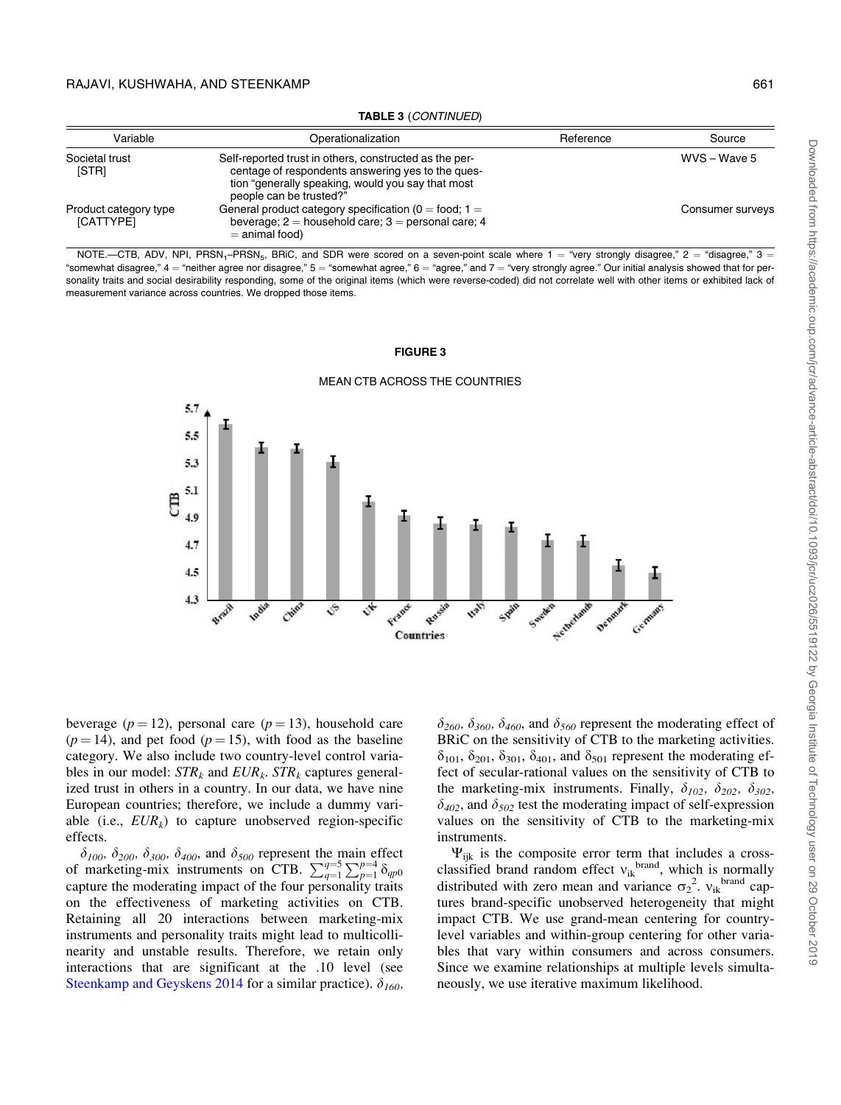<span id="page-10-0"></span>

| Variable                           | Operationalization                                                                                                                                                                          | Reference | Source           |
|------------------------------------|---------------------------------------------------------------------------------------------------------------------------------------------------------------------------------------------|-----------|------------------|
| Societal trust<br>[STR]            | Self-reported trust in others, constructed as the per-<br>centage of respondents answering yes to the ques-<br>tion "generally speaking, would you say that most<br>people can be trusted?" |           | WVS - Wave 5     |
| Product category type<br>[CATTYPE] | General product category specification ( $0 =$ food; $1 =$<br>beverage; $2 =$ household care; $3 =$ personal care; 4<br>$=$ animal food)                                                    |           | Consumer surveys |

TABLE 3 (CONTINUED)

NOTE.—CTB, ADV, NPI, PRSN<sub>1</sub>–PRSN<sub>5</sub>, BRiC, and SDR were scored on a seven-point scale where  $1 =$  "very strongly disagree,"  $2 =$  "disagree,"  $3 =$ "somewhat disagree,"  $4 =$  "neither agree nor disagree,"  $5 =$  "somewhat agree,"  $6 =$  "agree," and  $7 =$  "very strongly agree." Our initial analysis showed that for personality traits and social desirability responding, some of the original items (which were reverse-coded) did not correlate well with other items or exhibited lack of measurement variance across countries. We dropped those items.

#### FIGURE 3



#### MEAN CTB ACROSS THE COUNTRIES

beverage ( $p = 12$ ), personal care ( $p = 13$ ), household care  $(p = 14)$ , and pet food  $(p = 15)$ , with food as the baseline category. We also include two country-level control variables in our model:  $STR_k$  and  $EUR_k$ .  $STR_k$  captures generalized trust in others in a country. In our data, we have nine European countries; therefore, we include a dummy variable (i.e.,  $EUR_k$ ) to capture unobserved region-specific effects.

 $\delta_{100}$ ,  $\delta_{200}$ ,  $\delta_{300}$ ,  $\delta_{400}$ , and  $\delta_{500}$  represent the main effect of marketing-mix instruments on CTB.  $\sum_{q=1}^{q=5} \sum_{p=1}^{p=4} \delta_{qp0}$ capture the moderating impact of the four personality traits on the effectiveness of marketing activities on CTB. Retaining all 20 interactions between marketing-mix instruments and personality traits might lead to multicollinearity and unstable results. Therefore, we retain only interactions that are significant at the .10 level (see [Steenkamp and Geyskens 2014](#page-19-0) for a similar practice).  $\delta_{160}$ ,  $\delta_{260}, \delta_{360}, \delta_{460}$ , and  $\delta_{560}$  represent the moderating effect of BRiC on the sensitivity of CTB to the marketing activities.  $\delta_{101}$ ,  $\delta_{201}$ ,  $\delta_{301}$ ,  $\delta_{401}$ , and  $\delta_{501}$  represent the moderating effect of secular-rational values on the sensitivity of CTB to the marketing-mix instruments. Finally,  $\delta_{102}$ ,  $\delta_{202}$ ,  $\delta_{302}$ ,  $\delta_{402}$ , and  $\delta_{502}$  test the moderating impact of self-expression values on the sensitivity of CTB to the marketing-mix instruments.

 $\Psi_{iik}$  is the composite error term that includes a crossclassified brand random effect  $v_{ik}$ <sup>brand</sup>, which is normally distributed with zero mean and variance  $\sigma_2^2$ .  $v_{ik}$ <sup>brand</sup> captures brand-specific unobserved heterogeneity that might impact CTB. We use grand-mean centering for countrylevel variables and within-group centering for other variables that vary within consumers and across consumers. Since we examine relationships at multiple levels simultaneously, we use iterative maximum likelihood.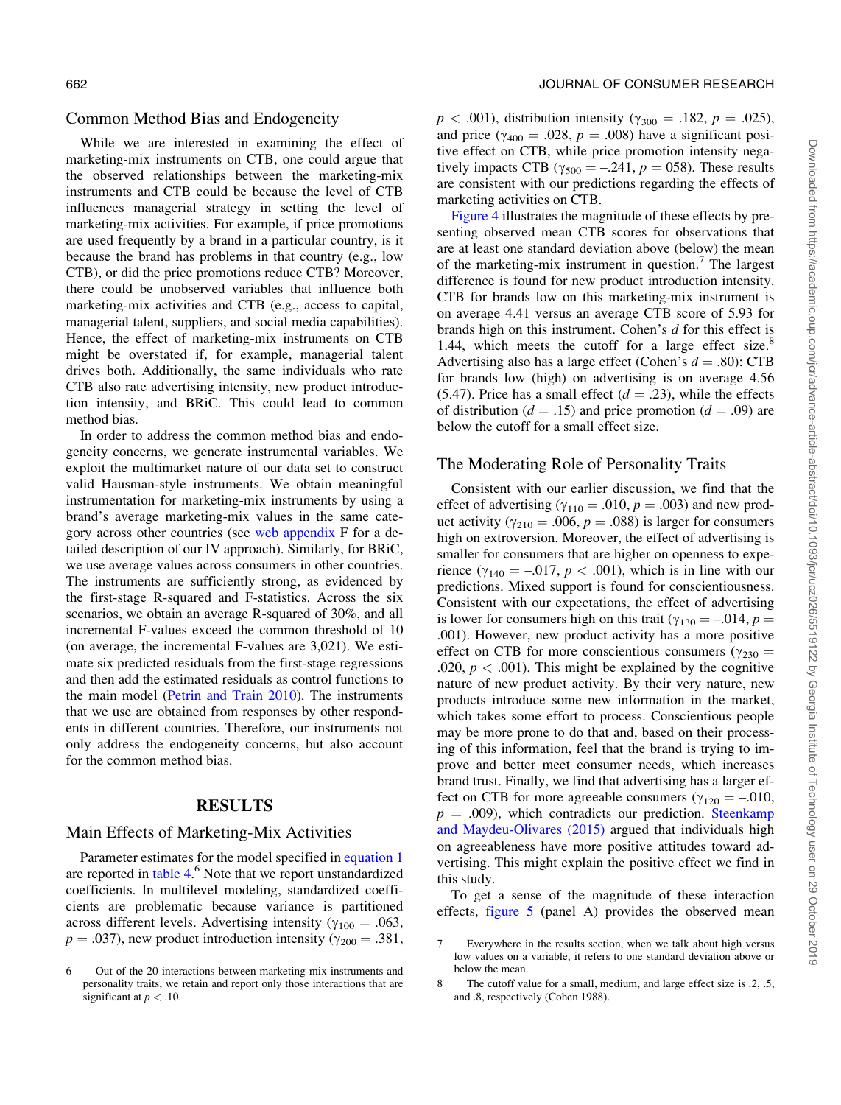#### Common Method Bias and Endogeneity

While we are interested in examining the effect of marketing-mix instruments on CTB, one could argue that the observed relationships between the marketing-mix instruments and CTB could be because the level of CTB influences managerial strategy in setting the level of marketing-mix activities. For example, if price promotions are used frequently by a brand in a particular country, is it because the brand has problems in that country (e.g., low CTB), or did the price promotions reduce CTB? Moreover, there could be unobserved variables that influence both marketing-mix activities and CTB (e.g., access to capital, managerial talent, suppliers, and social media capabilities). Hence, the effect of marketing-mix instruments on CTB might be overstated if, for example, managerial talent drives both. Additionally, the same individuals who rate CTB also rate advertising intensity, new product introduction intensity, and BRiC. This could lead to common method bias.

In order to address the common method bias and endogeneity concerns, we generate instrumental variables. We exploit the multimarket nature of our data set to construct valid Hausman-style instruments. We obtain meaningful instrumentation for marketing-mix instruments by using a brand's average marketing-mix values in the same category across other countries (see [web appendix](https://academic.oup.com/jcr/article-lookup/doi/10.1093/jcr/ucz026#supplementary-data) F for a detailed description of our IV approach). Similarly, for BRiC, we use average values across consumers in other countries. The instruments are sufficiently strong, as evidenced by the first-stage R-squared and F-statistics. Across the six scenarios, we obtain an average R-squared of 30%, and all incremental F-values exceed the common threshold of 10 (on average, the incremental F-values are 3,021). We estimate six predicted residuals from the first-stage regressions and then add the estimated residuals as control functions to the main model ([Petrin and Train 2010\)](#page-18-0). The instruments that we use are obtained from responses by other respondents in different countries. Therefore, our instruments not only address the endogeneity concerns, but also account for the common method bias.

#### RESULTS

#### Main Effects of Marketing-Mix Activities

Parameter estimates for the model specified in [equation 1](#page-8-0) are reported in [table 4](#page-12-0).<sup>6</sup> Note that we report unstandardized coefficients. In multilevel modeling, standardized coefficients are problematic because variance is partitioned across different levels. Advertising intensity ( $\gamma_{100} = .063$ ,  $p = .037$ , new product introduction intensity ( $\gamma_{200} = .381$ ,  $p < .001$ ), distribution intensity ( $\gamma_{300} = .182, p = .025$ ), and price ( $\gamma_{400} = .028$ ,  $p = .008$ ) have a significant positive effect on CTB, while price promotion intensity negatively impacts CTB ( $\gamma_{500} = -.241$ ,  $p = 058$ ). These results are consistent with our predictions regarding the effects of marketing activities on CTB.

[Figure 4](#page-13-0) illustrates the magnitude of these effects by presenting observed mean CTB scores for observations that are at least one standard deviation above (below) the mean of the marketing-mix instrument in question.<sup>7</sup> The largest difference is found for new product introduction intensity. CTB for brands low on this marketing-mix instrument is on average 4.41 versus an average CTB score of 5.93 for brands high on this instrument. Cohen's d for this effect is 1.44, which meets the cutoff for a large effect size.<sup>8</sup> Advertising also has a large effect (Cohen's  $d = .80$ ): CTB for brands low (high) on advertising is on average 4.56 (5.47). Price has a small effect ( $d = .23$ ), while the effects of distribution ( $d = .15$ ) and price promotion ( $d = .09$ ) are below the cutoff for a small effect size.

#### The Moderating Role of Personality Traits

Consistent with our earlier discussion, we find that the effect of advertising  $(\gamma_{110} = .010, p = .003)$  and new product activity ( $\gamma_{210} = .006$ ,  $p = .088$ ) is larger for consumers high on extroversion. Moreover, the effect of advertising is smaller for consumers that are higher on openness to experience  $(\gamma_{140} = -.017, p < .001)$ , which is in line with our predictions. Mixed support is found for conscientiousness. Consistent with our expectations, the effect of advertising is lower for consumers high on this trait ( $\gamma_{130} = -.014$ ,  $p =$ .001). However, new product activity has a more positive effect on CTB for more conscientious consumers ( $\gamma_{230}$  = .020,  $p < .001$ ). This might be explained by the cognitive nature of new product activity. By their very nature, new products introduce some new information in the market, which takes some effort to process. Conscientious people may be more prone to do that and, based on their processing of this information, feel that the brand is trying to improve and better meet consumer needs, which increases brand trust. Finally, we find that advertising has a larger effect on CTB for more agreeable consumers ( $\gamma_{120} = -.010$ ,  $p = .009$ , which contradicts our prediction. [Steenkamp](#page-19-0) [and Maydeu-Olivares \(2015\)](#page-19-0) argued that individuals high on agreeableness have more positive attitudes toward advertising. This might explain the positive effect we find in this study.

To get a sense of the magnitude of these interaction effects, [figure 5](#page-14-0) (panel A) provides the observed mean

<sup>6</sup> Out of the 20 interactions between marketing-mix instruments and personality traits, we retain and report only those interactions that are significant at  $p < .10$ .

<sup>7</sup> Everywhere in the results section, when we talk about high versus low values on a variable, it refers to one standard deviation above or below the mean.

<sup>8</sup> The cutoff value for a small, medium, and large effect size is .2, .5, and .8, respectively (Cohen 1988).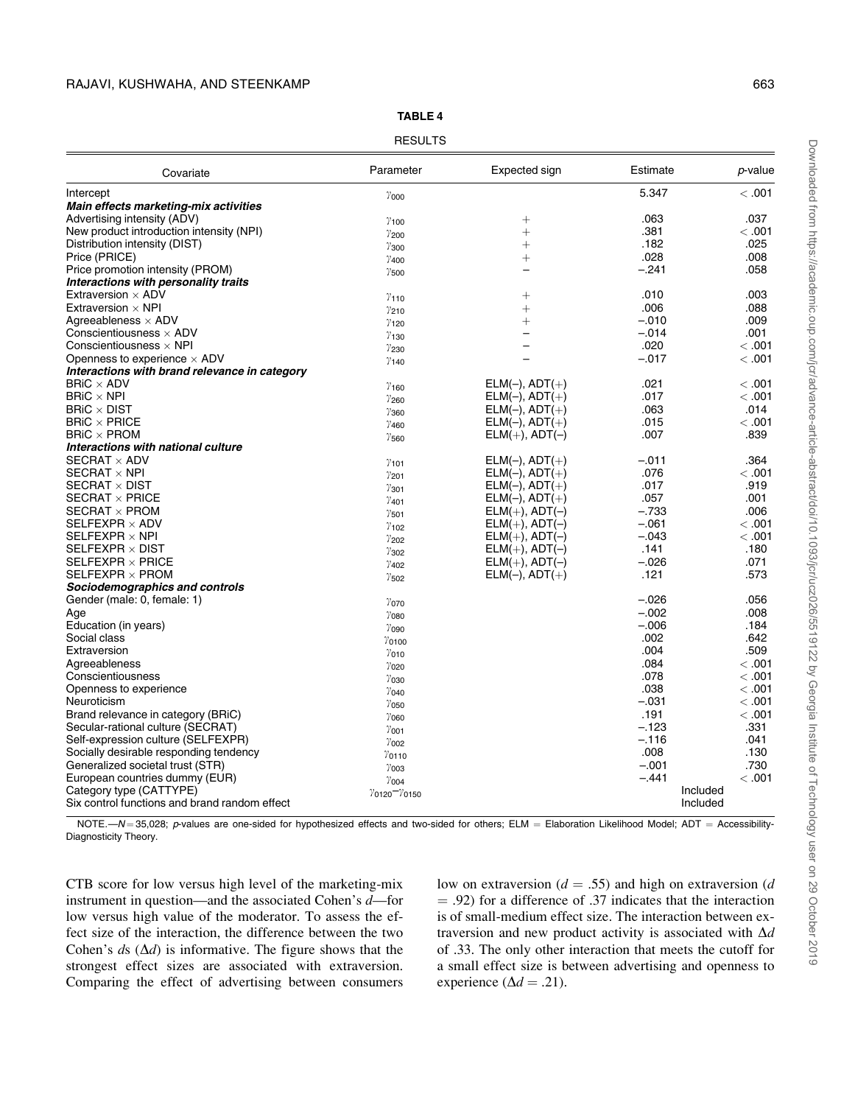<span id="page-12-0"></span>

| Covariate                                     | Parameter                                             | Expected sign            | Estimate | p-value |
|-----------------------------------------------|-------------------------------------------------------|--------------------------|----------|---------|
| Intercept                                     | $\gamma$ <sub>000</sub>                               |                          | 5.347    | <.001   |
| Main effects marketing-mix activities         |                                                       |                          |          |         |
| Advertising intensity (ADV)                   | $\gamma$ <sub>100</sub>                               | $^{+}$                   | .063     | .037    |
| New product introduction intensity (NPI)      | $\gamma_{200}$                                        | $^{+}$                   | .381     | <.001   |
| Distribution intensity (DIST)                 | $\gamma_{300}$                                        | $^{+}$                   | .182     | .025    |
| Price (PRICE)                                 | $\gamma$ <sub>400</sub>                               | $^{+}$                   | .028     | .008    |
| Price promotion intensity (PROM)              | $\gamma_{500}$                                        |                          | $-.241$  | .058    |
| Interactions with personality traits          |                                                       |                          |          |         |
| Extraversion $\times$ ADV                     | $\gamma$ <sub>110</sub>                               | $^+$                     | .010     | .003    |
| Extraversion $\times$ NPI                     | $\gamma_{210}$                                        | $^{+}$                   | .006     | .088    |
| Agreeableness $\times$ ADV                    | $\gamma_{120}$                                        | $^{+}$                   | $-.010$  | .009    |
| Conscientiousness $\times$ ADV                | $\gamma$ <sub>130</sub>                               | $\overline{\phantom{0}}$ | $-.014$  | .001    |
| Conscientiousness $\times$ NPI                | $\gamma_{230}$                                        |                          | .020     | <.001   |
| Openness to experience $\times$ ADV           | $\gamma$ <sub>140</sub>                               |                          | $-.017$  | <.001   |
| Interactions with brand relevance in category |                                                       |                          |          |         |
| $BRIC \times ADV$                             | $\gamma$ <sub>160</sub>                               | $ELM(-)$ , $ADT(+)$      | .021     | <.001   |
| $BRIC \times NPI$                             | $\gamma_{260}$                                        | $ELM(-)$ , $ADT(+)$      | .017     | <.001   |
| $BRIC \times DIST$                            | $\gamma_{360}$                                        | $ELM(-)$ , $ADT(+)$      | .063     | .014    |
| $BRIC \times PRICE$                           | $\gamma$ <sub>460</sub>                               | $ELM(-)$ , $ADT(+)$      | .015     | <.001   |
| $BRIC \times PROM$                            | $\gamma_{560}$                                        | $ELM(+)$ , $ADT(-)$      | .007     | .839    |
| Interactions with national culture            |                                                       |                          |          |         |
| SECRAT $\times$ ADV                           | $\gamma$ <sub>101</sub>                               | $ELM(-)$ , $ADT(+)$      | -.011    | .364    |
| SECRAT $\times$ NPI                           | $\gamma_{201}$                                        | $ELM(-)$ , $ADT(+)$      | .076     | <.001   |
| SECRAT $\times$ DIST                          | $\gamma_{301}$                                        | $ELM(-)$ , $ADT(+)$      | .017     | .919    |
| SECRAT $\times$ PRICE                         | $\gamma$ <sub>401</sub>                               | $ELM(-)$ , $ADT(+)$      | .057     | .001    |
| SECRAT $\times$ PROM                          | $\gamma$ <sub>501</sub>                               | $ELM(+)$ , $ADT(-)$      | $-.733$  | .006    |
| SELFEXPR $\times$ ADV                         | $\gamma$ <sub>102</sub>                               | $ELM(+)$ , $ADT(-)$      | $-.061$  | < 0.001 |
| SELFEXPR $\times$ NPI                         | $\gamma_{202}$                                        | $ELM(+)$ , $ADT(-)$      | $-.043$  | <.001   |
| SELFEXPR $\times$ DIST                        | $\gamma_{302}$                                        | $ELM(+)$ , $ADT(-)$      | .141     | .180    |
| SELFEXPR $\times$ PRICE                       | $\gamma$ <sub>402</sub>                               | $ELM(+)$ , $ADT(-)$      | $-.026$  | .071    |
| SELFEXPR $\times$ PROM                        | $\gamma_{502}$                                        | $ELM(-)$ , $ADT(+)$      | .121     | .573    |
| Sociodemographics and controls                |                                                       |                          |          |         |
| Gender (male: 0, female: 1)                   | $\gamma_{070}$                                        |                          | $-.026$  | .056    |
| Age                                           | $\gamma$ <sub>080</sub>                               |                          | $-.002$  | .008    |
| Education (in years)                          | $\gamma$ <sub>090</sub>                               |                          | $-.006$  | .184    |
| Social class                                  | $\gamma$ 0100                                         |                          | .002     | .642    |
| Extraversion                                  | $\gamma_{010}$                                        |                          | .004     | .509    |
| Agreeableness                                 | $\gamma_{020}$                                        |                          | .084     | <.001   |
| Conscientiousness                             | $\gamma$ <sub>030</sub>                               |                          | .078     | <.001   |
| Openness to experience                        | $\gamma_{040}$                                        |                          | .038     | < 0.001 |
| Neuroticism                                   | $\gamma$ <sub>050</sub>                               |                          | $-.031$  | < 0.001 |
| Brand relevance in category (BRiC)            | $\gamma$ <sub>060</sub>                               |                          | .191     | <.001   |
| Secular-rational culture (SECRAT)             | $\gamma$ <sub>001</sub>                               |                          | $-.123$  | .331    |
| Self-expression culture (SELFEXPR)            | $\gamma$ 002                                          |                          | $-.116$  | .041    |
| Socially desirable responding tendency        | $\gamma$ 0110                                         |                          | .008     | .130    |
| Generalized societal trust (STR)              | $\gamma$ <sub>003</sub>                               |                          | $-.001$  | .730    |
| European countries dummy (EUR)                | $\gamma$ 004                                          |                          | $-.441$  | < 0.001 |
| Category type (CATTYPE)                       | $\frac{\gamma_{0120} - \gamma_{0150}}{\gamma_{0150}}$ |                          | Included |         |
| Six control functions and brand random effect |                                                       |                          | Included |         |

TABLE 4 **RESULTS** 

NOTE.—N=35,028; p-values are one-sided for hypothesized effects and two-sided for others; ELM = Elaboration Likelihood Model; ADT = Accessibility-Diagnosticity Theory.

CTB score for low versus high level of the marketing-mix instrument in question—and the associated Cohen's d—for low versus high value of the moderator. To assess the effect size of the interaction, the difference between the two Cohen's  $ds$  ( $\Delta d$ ) is informative. The figure shows that the strongest effect sizes are associated with extraversion. Comparing the effect of advertising between consumers

low on extraversion ( $d = .55$ ) and high on extraversion (d  $= .92$ ) for a difference of .37 indicates that the interaction is of small-medium effect size. The interaction between extraversion and new product activity is associated with  $\Delta d$ of .33. The only other interaction that meets the cutoff for a small effect size is between advertising and openness to experience ( $\Delta d = .21$ ).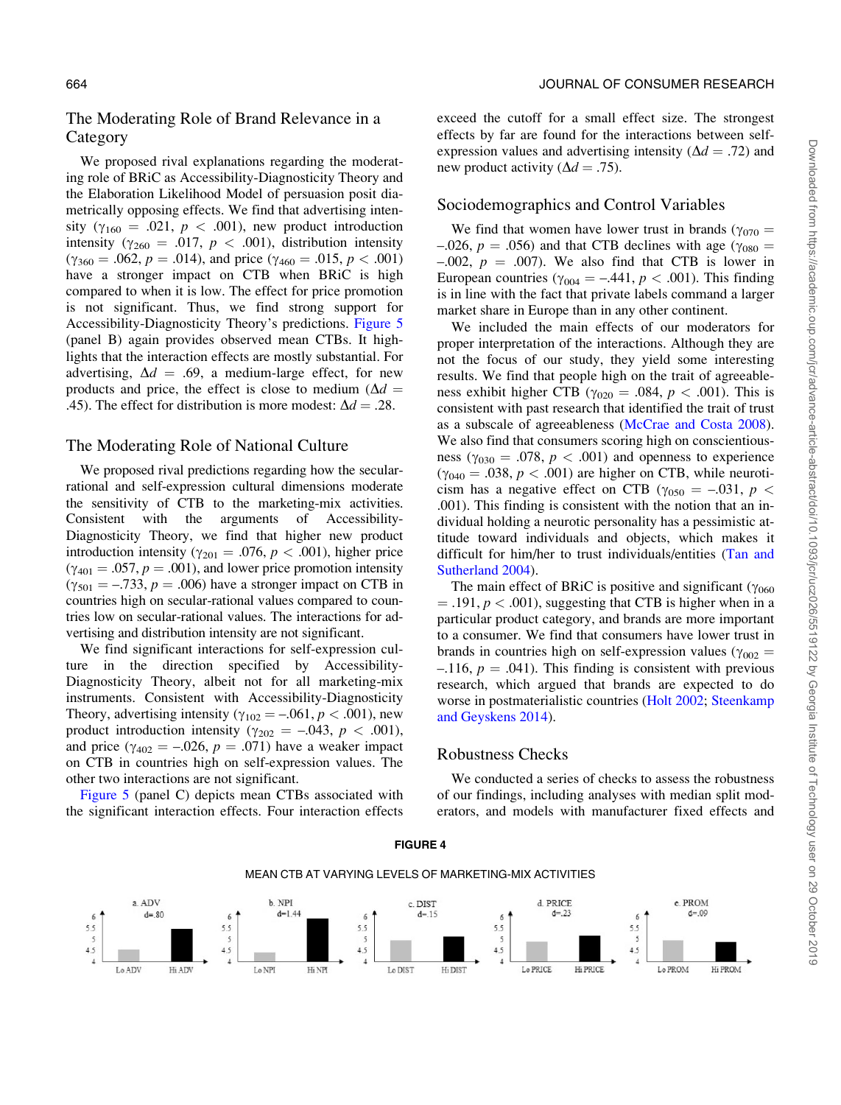# <span id="page-13-0"></span>The Moderating Role of Brand Relevance in a Category

We proposed rival explanations regarding the moderating role of BRiC as Accessibility-Diagnosticity Theory and the Elaboration Likelihood Model of persuasion posit diametrically opposing effects. We find that advertising intensity ( $\gamma_{160} = .021$ ,  $p < .001$ ), new product introduction intensity ( $\gamma_{260} = .017$ ,  $p < .001$ ), distribution intensity  $(\gamma_{360} = .062, p = .014)$ , and price  $(\gamma_{460} = .015, p < .001)$ have a stronger impact on CTB when BRiC is high compared to when it is low. The effect for price promotion is not significant. Thus, we find strong support for Accessibility-Diagnosticity Theory's predictions. [Figure 5](#page-14-0) (panel B) again provides observed mean CTBs. It highlights that the interaction effects are mostly substantial. For advertising,  $\Delta d = .69$ , a medium-large effect, for new products and price, the effect is close to medium ( $\Delta d$  = .45). The effect for distribution is more modest:  $\Delta d = .28$ .

#### The Moderating Role of National Culture

We proposed rival predictions regarding how the secularrational and self-expression cultural dimensions moderate the sensitivity of CTB to the marketing-mix activities. Consistent with the arguments of Accessibility-Diagnosticity Theory, we find that higher new product introduction intensity ( $\gamma_{201} = .076$ ,  $p < .001$ ), higher price  $(\gamma_{401} = .057, p = .001)$ , and lower price promotion intensity  $(\gamma_{501} = -.733, p = .006)$  have a stronger impact on CTB in countries high on secular-rational values compared to countries low on secular-rational values. The interactions for advertising and distribution intensity are not significant.

We find significant interactions for self-expression culture in the direction specified by Accessibility-Diagnosticity Theory, albeit not for all marketing-mix instruments. Consistent with Accessibility-Diagnosticity Theory, advertising intensity ( $\gamma_{102} = -.061, p < .001$ ), new product introduction intensity ( $\gamma_{202} = -.043$ ,  $p < .001$ ), and price ( $\gamma_{402} = -.026$ ,  $p = .071$ ) have a weaker impact on CTB in countries high on self-expression values. The other two interactions are not significant.

[Figure 5](#page-14-0) (panel C) depicts mean CTBs associated with the significant interaction effects. Four interaction effects

exceed the cutoff for a small effect size. The strongest effects by far are found for the interactions between selfexpression values and advertising intensity ( $\Delta d = .72$ ) and new product activity ( $\Delta d = .75$ ).

#### Sociodemographics and Control Variables

We find that women have lower trust in brands ( $\gamma_{070} =$ –.026,  $p = .056$ ) and that CTB declines with age ( $\gamma_{080} =$  $-0.002$ ,  $p = 0.007$ ). We also find that CTB is lower in European countries ( $\gamma_{004} = -.441$ ,  $p < .001$ ). This finding is in line with the fact that private labels command a larger market share in Europe than in any other continent.

We included the main effects of our moderators for proper interpretation of the interactions. Although they are not the focus of our study, they yield some interesting results. We find that people high on the trait of agreeableness exhibit higher CTB ( $\gamma_{020} = .084$ ,  $p < .001$ ). This is consistent with past research that identified the trait of trust as a subscale of agreeableness [\(McCrae and Costa 2008\)](#page-18-0). We also find that consumers scoring high on conscientiousness ( $\gamma_{030} = .078$ ,  $p < .001$ ) and openness to experience  $(\gamma_{040} = .038, p < .001)$  are higher on CTB, while neuroticism has a negative effect on CTB ( $\gamma_{0.50} = -.031$ ,  $p <$ .001). This finding is consistent with the notion that an individual holding a neurotic personality has a pessimistic attitude toward individuals and objects, which makes it difficult for him/her to trust individuals/entities [\(Tan and](#page-19-0) [Sutherland 2004\)](#page-19-0).

The main effect of BRiC is positive and significant ( $\gamma_{060}$ )  $=$  .191,  $p < .001$ ), suggesting that CTB is higher when in a particular product category, and brands are more important to a consumer. We find that consumers have lower trust in brands in countries high on self-expression values ( $\gamma_{002}$  =  $-116$ ,  $p = .041$ ). This finding is consistent with previous research, which argued that brands are expected to do worse in postmaterialistic countries [\(Holt 2002;](#page-18-0) [Steenkamp](#page-19-0) [and Geyskens 2014](#page-19-0)).

#### Robustness Checks

We conducted a series of checks to assess the robustness of our findings, including analyses with median split moderators, and models with manufacturer fixed effects and



FIGURE 4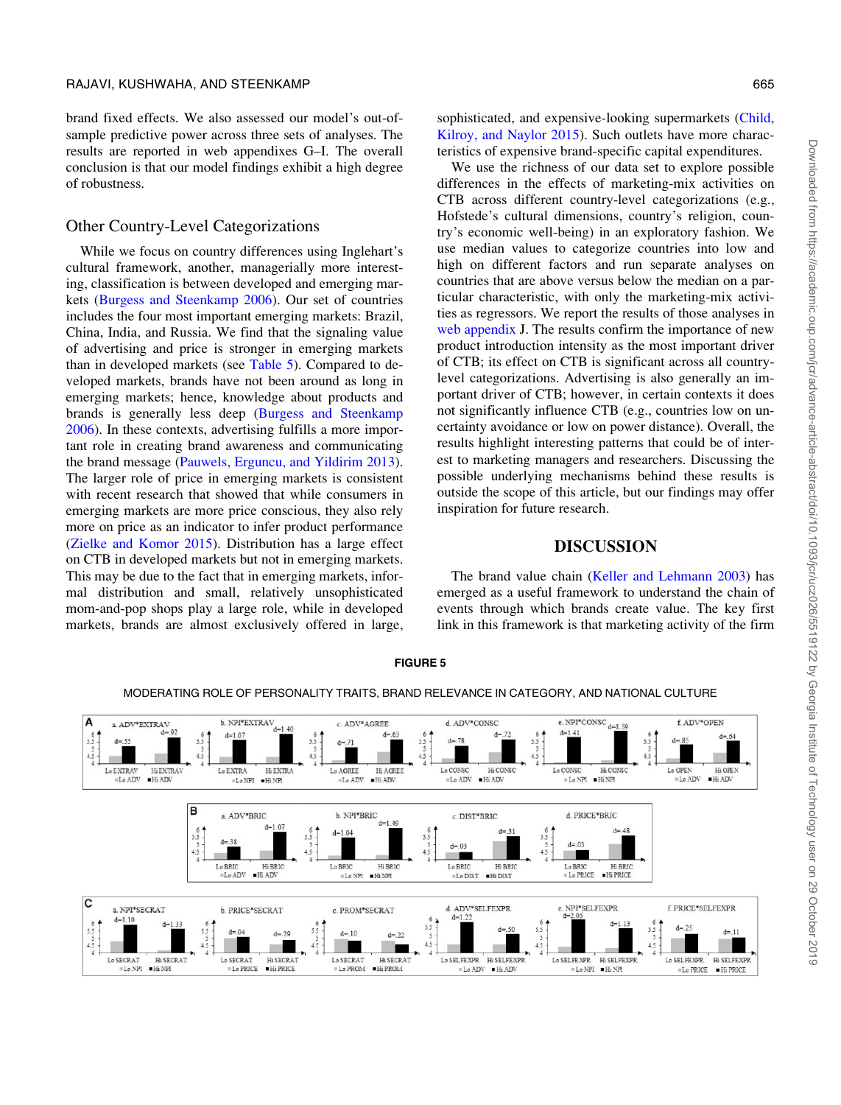<span id="page-14-0"></span>brand fixed effects. We also assessed our model's out-ofsample predictive power across three sets of analyses. The results are reported in web appendixes G–I. The overall conclusion is that our model findings exhibit a high degree of robustness.

# Other Country-Level Categorizations

While we focus on country differences using Inglehart's cultural framework, another, managerially more interesting, classification is between developed and emerging markets [\(Burgess and Steenkamp 2006\)](#page-17-0). Our set of countries includes the four most important emerging markets: Brazil, China, India, and Russia. We find that the signaling value of advertising and price is stronger in emerging markets than in developed markets (see [Table 5\)](#page-15-0). Compared to developed markets, brands have not been around as long in emerging markets; hence, knowledge about products and brands is generally less deep [\(Burgess and Steenkamp](#page-17-0) [2006\)](#page-17-0). In these contexts, advertising fulfills a more important role in creating brand awareness and communicating the brand message [\(Pauwels, Erguncu, and Yildirim 2013\)](#page-18-0). The larger role of price in emerging markets is consistent with recent research that showed that while consumers in emerging markets are more price conscious, they also rely more on price as an indicator to infer product performance [\(Zielke and Komor 2015\)](#page-19-0). Distribution has a large effect on CTB in developed markets but not in emerging markets. This may be due to the fact that in emerging markets, informal distribution and small, relatively unsophisticated mom-and-pop shops play a large role, while in developed markets, brands are almost exclusively offered in large,

Downloaded from https://academic.oup.com/jcr/advance-article-abstract/doi/10.1093/jcr/ucz026/5519122 by Georgia Institute of Technology user on 29 October 2019 Downloaded from https://academic.oup.com/jcr/advance-article-abstract/doi/10.1093/jcr/ucz026/5519122 by Georgia Institute of Technology user on 29 October 2019

sophisticated, and expensive-looking supermarkets ([Child,](#page-17-0) [Kilroy, and Naylor 2015](#page-17-0)). Such outlets have more characteristics of expensive brand-specific capital expenditures.

We use the richness of our data set to explore possible differences in the effects of marketing-mix activities on CTB across different country-level categorizations (e.g., Hofstede's cultural dimensions, country's religion, country's economic well-being) in an exploratory fashion. We use median values to categorize countries into low and high on different factors and run separate analyses on countries that are above versus below the median on a particular characteristic, with only the marketing-mix activities as regressors. We report the results of those analyses in [web appendix](https://academic.oup.com/jcr/article-lookup/doi/10.1093/jcr/ucz026#supplementary-data) J. The results confirm the importance of new product introduction intensity as the most important driver of CTB; its effect on CTB is significant across all countrylevel categorizations. Advertising is also generally an important driver of CTB; however, in certain contexts it does not significantly influence CTB (e.g., countries low on uncertainty avoidance or low on power distance). Overall, the results highlight interesting patterns that could be of interest to marketing managers and researchers. Discussing the possible underlying mechanisms behind these results is outside the scope of this article, but our findings may offer inspiration for future research.

# DISCUSSION

The brand value chain ([Keller and Lehmann 2003](#page-18-0)) has emerged as a useful framework to understand the chain of events through which brands create value. The key first link in this framework is that marketing activity of the firm



#### FIGURE 5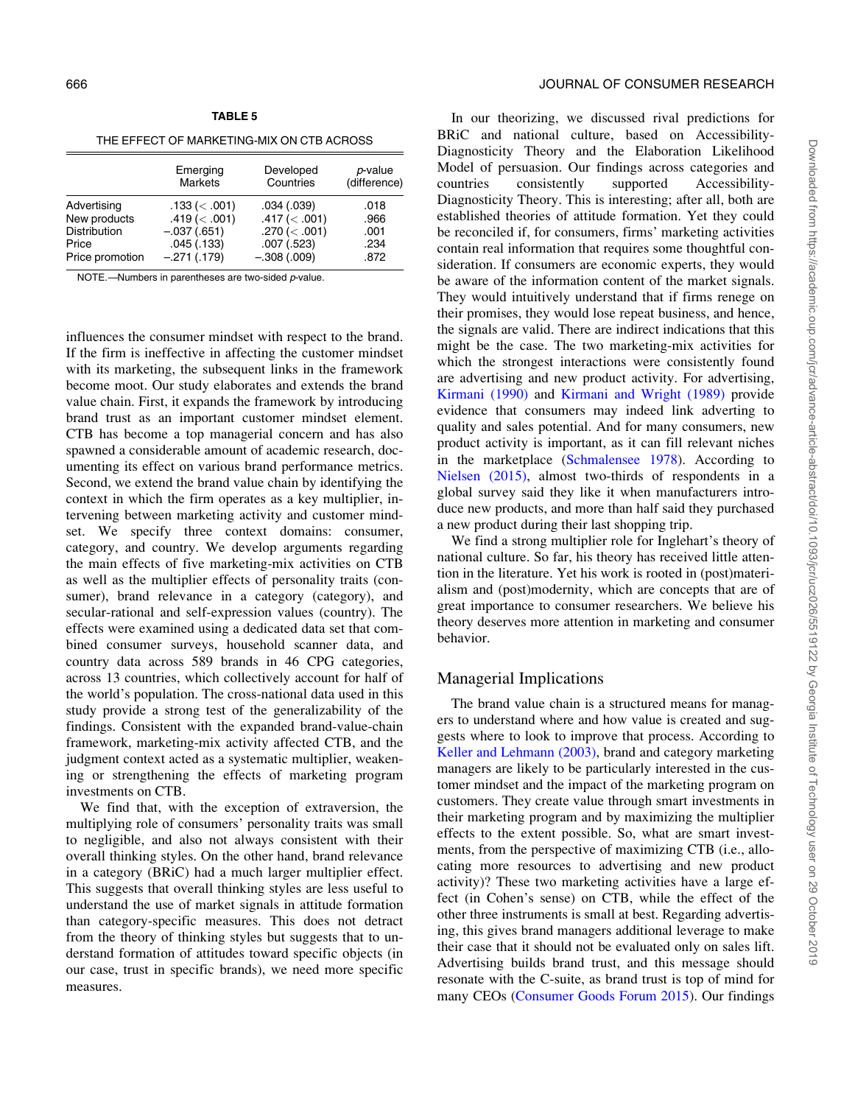<span id="page-15-0"></span>

| THE EFFECT OF MARKETING-MIX ON CTB ACROSS |
|-------------------------------------------|
|                                           |

TABLE 5

|                 | Emerging<br><b>Markets</b> | Developed<br>Countries | p-value<br>(difference) |
|-----------------|----------------------------|------------------------|-------------------------|
| Advertising     | $.133 \,(< .001)$          | .034(.039)             | .018                    |
| New products    | $.419 \,(& .001)$          | $.417 \ (< .001)$      | .966                    |
| Distribution    | $-.037(.651)$              | .270 (< .001)          | .001                    |
| Price           | .045(.133)                 | .007(.523)             | .234                    |
| Price promotion | $-.271(.179)$              | $-.308(.009)$          | .872                    |

NOTE —Numbers in parentheses are two-sided *p*-value.

influences the consumer mindset with respect to the brand. If the firm is ineffective in affecting the customer mindset with its marketing, the subsequent links in the framework become moot. Our study elaborates and extends the brand value chain. First, it expands the framework by introducing brand trust as an important customer mindset element. CTB has become a top managerial concern and has also spawned a considerable amount of academic research, documenting its effect on various brand performance metrics. Second, we extend the brand value chain by identifying the context in which the firm operates as a key multiplier, intervening between marketing activity and customer mindset. We specify three context domains: consumer, category, and country. We develop arguments regarding the main effects of five marketing-mix activities on CTB as well as the multiplier effects of personality traits (consumer), brand relevance in a category (category), and secular-rational and self-expression values (country). The effects were examined using a dedicated data set that combined consumer surveys, household scanner data, and country data across 589 brands in 46 CPG categories, across 13 countries, which collectively account for half of the world's population. The cross-national data used in this study provide a strong test of the generalizability of the findings. Consistent with the expanded brand-value-chain framework, marketing-mix activity affected CTB, and the judgment context acted as a systematic multiplier, weakening or strengthening the effects of marketing program investments on CTB.

We find that, with the exception of extraversion, the multiplying role of consumers' personality traits was small to negligible, and also not always consistent with their overall thinking styles. On the other hand, brand relevance in a category (BRiC) had a much larger multiplier effect. This suggests that overall thinking styles are less useful to understand the use of market signals in attitude formation than category-specific measures. This does not detract from the theory of thinking styles but suggests that to understand formation of attitudes toward specific objects (in our case, trust in specific brands), we need more specific measures.

In our theorizing, we discussed rival predictions for BRiC and national culture, based on Accessibility-Diagnosticity Theory and the Elaboration Likelihood Model of persuasion. Our findings across categories and countries consistently supported Accessibility-Diagnosticity Theory. This is interesting; after all, both are established theories of attitude formation. Yet they could be reconciled if, for consumers, firms' marketing activities contain real information that requires some thoughtful consideration. If consumers are economic experts, they would be aware of the information content of the market signals. They would intuitively understand that if firms renege on their promises, they would lose repeat business, and hence, the signals are valid. There are indirect indications that this might be the case. The two marketing-mix activities for which the strongest interactions were consistently found are advertising and new product activity. For advertising, [Kirmani \(1990\)](#page-18-0) and [Kirmani and Wright \(1989\)](#page-18-0) provide evidence that consumers may indeed link adverting to quality and sales potential. And for many consumers, new product activity is important, as it can fill relevant niches in the marketplace [\(Schmalensee 1978\)](#page-19-0). According to [Nielsen \(2015\)](#page-18-0), almost two-thirds of respondents in a global survey said they like it when manufacturers introduce new products, and more than half said they purchased a new product during their last shopping trip.

We find a strong multiplier role for Inglehart's theory of national culture. So far, his theory has received little attention in the literature. Yet his work is rooted in (post)materialism and (post)modernity, which are concepts that are of great importance to consumer researchers. We believe his theory deserves more attention in marketing and consumer behavior.

#### Managerial Implications

The brand value chain is a structured means for managers to understand where and how value is created and suggests where to look to improve that process. According to [Keller and Lehmann \(2003\)](#page-18-0), brand and category marketing managers are likely to be particularly interested in the customer mindset and the impact of the marketing program on customers. They create value through smart investments in their marketing program and by maximizing the multiplier effects to the extent possible. So, what are smart investments, from the perspective of maximizing CTB (i.e., allocating more resources to advertising and new product activity)? These two marketing activities have a large effect (in Cohen's sense) on CTB, while the effect of the other three instruments is small at best. Regarding advertising, this gives brand managers additional leverage to make their case that it should not be evaluated only on sales lift. Advertising builds brand trust, and this message should resonate with the C-suite, as brand trust is top of mind for many CEOs [\(Consumer Goods Forum 2015](#page-17-0)). Our findings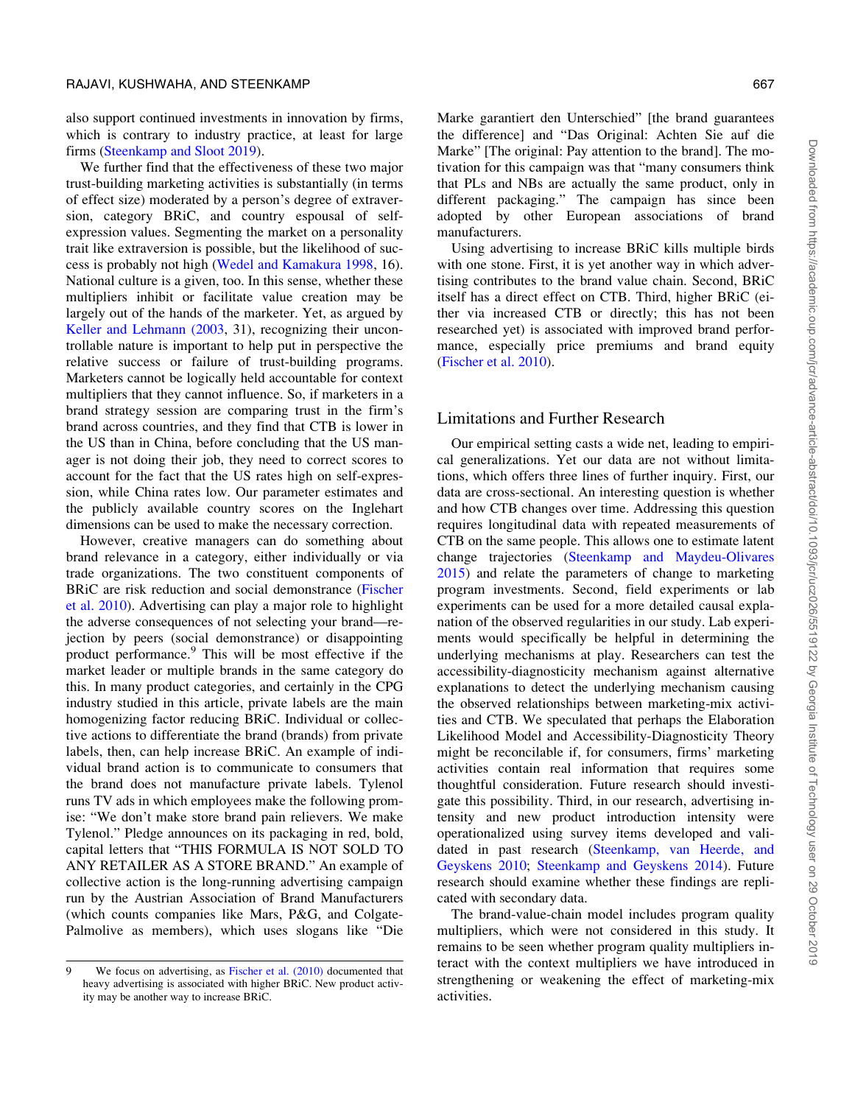also support continued investments in innovation by firms, which is contrary to industry practice, at least for large firms ([Steenkamp and Sloot 2019\)](#page-19-0).

We further find that the effectiveness of these two major trust-building marketing activities is substantially (in terms of effect size) moderated by a person's degree of extraversion, category BRiC, and country espousal of selfexpression values. Segmenting the market on a personality trait like extraversion is possible, but the likelihood of success is probably not high ([Wedel and Kamakura 1998,](#page-19-0) 16). National culture is a given, too. In this sense, whether these multipliers inhibit or facilitate value creation may be largely out of the hands of the marketer. Yet, as argued by [Keller and Lehmann \(2003,](#page-18-0) 31), recognizing their uncontrollable nature is important to help put in perspective the relative success or failure of trust-building programs. Marketers cannot be logically held accountable for context multipliers that they cannot influence. So, if marketers in a brand strategy session are comparing trust in the firm's brand across countries, and they find that CTB is lower in the US than in China, before concluding that the US manager is not doing their job, they need to correct scores to account for the fact that the US rates high on self-expression, while China rates low. Our parameter estimates and the publicly available country scores on the Inglehart dimensions can be used to make the necessary correction.

However, creative managers can do something about brand relevance in a category, either individually or via trade organizations. The two constituent components of BRiC are risk reduction and social demonstrance [\(Fischer](#page-18-0) [et al. 2010\)](#page-18-0). Advertising can play a major role to highlight the adverse consequences of not selecting your brand—rejection by peers (social demonstrance) or disappointing product performance.9 This will be most effective if the market leader or multiple brands in the same category do this. In many product categories, and certainly in the CPG industry studied in this article, private labels are the main homogenizing factor reducing BRiC. Individual or collective actions to differentiate the brand (brands) from private labels, then, can help increase BRiC. An example of individual brand action is to communicate to consumers that the brand does not manufacture private labels. Tylenol runs TV ads in which employees make the following promise: "We don't make store brand pain relievers. We make Tylenol." Pledge announces on its packaging in red, bold, capital letters that "THIS FORMULA IS NOT SOLD TO ANY RETAILER AS A STORE BRAND." An example of collective action is the long-running advertising campaign run by the Austrian Association of Brand Manufacturers (which counts companies like Mars, P&G, and Colgate-Palmolive as members), which uses slogans like "Die

Marke garantiert den Unterschied" [the brand guarantees the difference] and "Das Original: Achten Sie auf die Marke" [The original: Pay attention to the brand]. The motivation for this campaign was that "many consumers think that PLs and NBs are actually the same product, only in different packaging." The campaign has since been adopted by other European associations of brand manufacturers.

Using advertising to increase BRiC kills multiple birds with one stone. First, it is yet another way in which advertising contributes to the brand value chain. Second, BRiC itself has a direct effect on CTB. Third, higher BRiC (either via increased CTB or directly; this has not been researched yet) is associated with improved brand performance, especially price premiums and brand equity ([Fischer et al. 2010](#page-18-0)).

#### Limitations and Further Research

Our empirical setting casts a wide net, leading to empirical generalizations. Yet our data are not without limitations, which offers three lines of further inquiry. First, our data are cross-sectional. An interesting question is whether and how CTB changes over time. Addressing this question requires longitudinal data with repeated measurements of CTB on the same people. This allows one to estimate latent change trajectories ([Steenkamp and Maydeu-Olivares](#page-19-0) [2015\)](#page-19-0) and relate the parameters of change to marketing program investments. Second, field experiments or lab experiments can be used for a more detailed causal explanation of the observed regularities in our study. Lab experiments would specifically be helpful in determining the underlying mechanisms at play. Researchers can test the accessibility-diagnosticity mechanism against alternative explanations to detect the underlying mechanism causing the observed relationships between marketing-mix activities and CTB. We speculated that perhaps the Elaboration Likelihood Model and Accessibility-Diagnosticity Theory might be reconcilable if, for consumers, firms' marketing activities contain real information that requires some thoughtful consideration. Future research should investigate this possibility. Third, in our research, advertising intensity and new product introduction intensity were operationalized using survey items developed and validated in past research [\(Steenkamp, van Heerde, and](#page-19-0) [Geyskens 2010](#page-19-0); [Steenkamp and Geyskens 2014\)](#page-19-0). Future research should examine whether these findings are replicated with secondary data.

The brand-value-chain model includes program quality multipliers, which were not considered in this study. It remains to be seen whether program quality multipliers interact with the context multipliers we have introduced in strengthening or weakening the effect of marketing-mix activities.

<sup>9</sup> We focus on advertising, as [Fischer et al. \(2010\)](#page-18-0) documented that heavy advertising is associated with higher BRiC. New product activity may be another way to increase BRiC.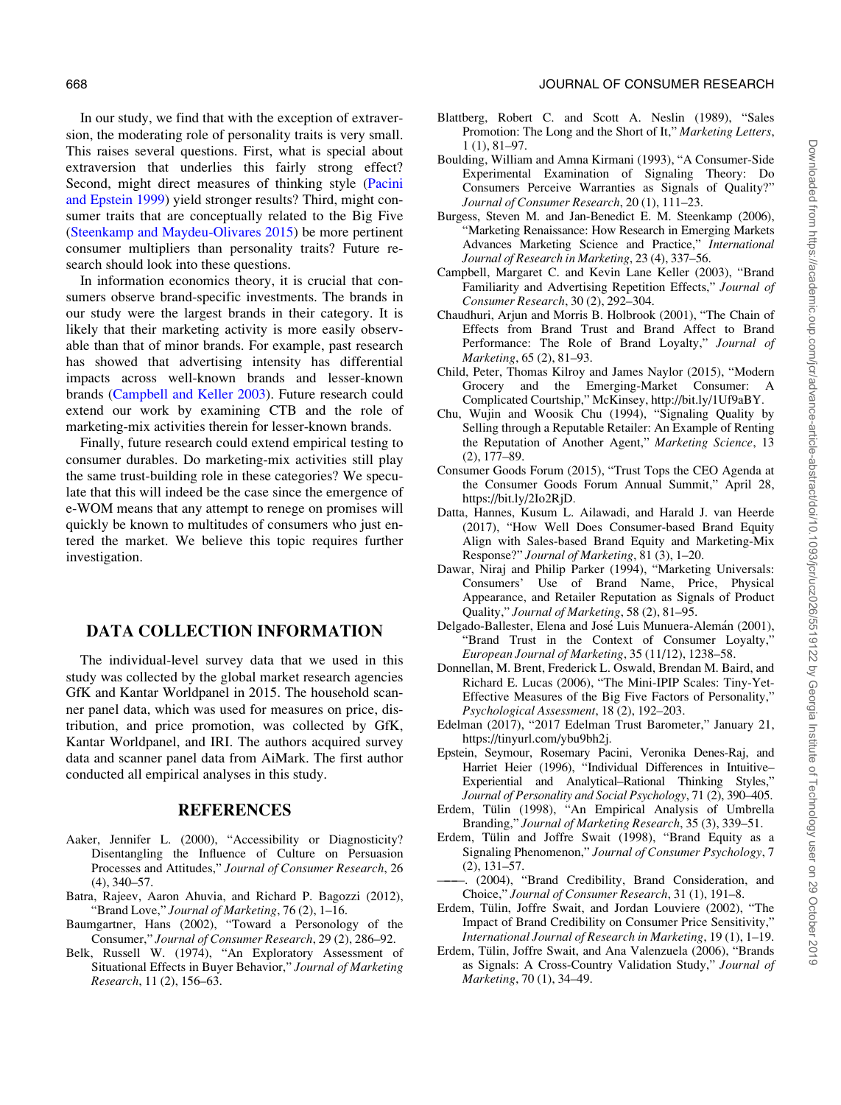<span id="page-17-0"></span>In our study, we find that with the exception of extraversion, the moderating role of personality traits is very small. This raises several questions. First, what is special about extraversion that underlies this fairly strong effect? Second, might direct measures of thinking style ([Pacini](#page-18-0) [and Epstein 1999\)](#page-18-0) yield stronger results? Third, might consumer traits that are conceptually related to the Big Five [\(Steenkamp and Maydeu-Olivares 2015\)](#page-19-0) be more pertinent consumer multipliers than personality traits? Future re-

In information economics theory, it is crucial that consumers observe brand-specific investments. The brands in our study were the largest brands in their category. It is likely that their marketing activity is more easily observable than that of minor brands. For example, past research has showed that advertising intensity has differential impacts across well-known brands and lesser-known brands (Campbell and Keller 2003). Future research could extend our work by examining CTB and the role of marketing-mix activities therein for lesser-known brands.

search should look into these questions.

Finally, future research could extend empirical testing to consumer durables. Do marketing-mix activities still play the same trust-building role in these categories? We speculate that this will indeed be the case since the emergence of e-WOM means that any attempt to renege on promises will quickly be known to multitudes of consumers who just entered the market. We believe this topic requires further investigation.

# DATA COLLECTION INFORMATION

The individual-level survey data that we used in this study was collected by the global market research agencies GfK and Kantar Worldpanel in 2015. The household scanner panel data, which was used for measures on price, distribution, and price promotion, was collected by GfK, Kantar Worldpanel, and IRI. The authors acquired survey data and scanner panel data from AiMark. The first author conducted all empirical analyses in this study.

#### REFERENCES

- Aaker, Jennifer L. (2000), "Accessibility or Diagnosticity? Disentangling the Influence of Culture on Persuasion Processes and Attitudes," Journal of Consumer Research, 26 (4), 340–57.
- Batra, Rajeev, Aaron Ahuvia, and Richard P. Bagozzi (2012), "Brand Love," Journal of Marketing, 76 (2), 1–16.
- Baumgartner, Hans (2002), "Toward a Personology of the Consumer," Journal of Consumer Research, 29 (2), 286–92.
- Belk, Russell W. (1974), "An Exploratory Assessment of Situational Effects in Buyer Behavior," Journal of Marketing Research, 11 (2), 156–63.
- Blattberg, Robert C. and Scott A. Neslin (1989), "Sales Promotion: The Long and the Short of It," Marketing Letters, 1 (1), 81–97.
- Boulding, William and Amna Kirmani (1993), "A Consumer-Side Experimental Examination of Signaling Theory: Do Consumers Perceive Warranties as Signals of Quality?" Journal of Consumer Research, 20 (1), 111–23.
- Burgess, Steven M. and Jan-Benedict E. M. Steenkamp (2006), "Marketing Renaissance: How Research in Emerging Markets Advances Marketing Science and Practice," International Journal of Research in Marketing, 23 (4), 337–56.
- Campbell, Margaret C. and Kevin Lane Keller (2003), "Brand Familiarity and Advertising Repetition Effects," Journal of Consumer Research, 30 (2), 292–304.
- Chaudhuri, Arjun and Morris B. Holbrook (2001), "The Chain of Effects from Brand Trust and Brand Affect to Brand Performance: The Role of Brand Loyalty," Journal of Marketing, 65 (2), 81–93.
- Child, Peter, Thomas Kilroy and James Naylor (2015), "Modern Grocery and the Emerging-Market Consumer: A Complicated Courtship," McKinsey,<http://bit.ly/1Uf9aBY>.
- Chu, Wujin and Woosik Chu (1994), "Signaling Quality by Selling through a Reputable Retailer: An Example of Renting the Reputation of Another Agent," Marketing Science, 13 (2), 177–89.
- Consumer Goods Forum (2015), "Trust Tops the CEO Agenda at the Consumer Goods Forum Annual Summit," April 28, [https://bit.ly/2Io2RjD.](https://bit.ly/2Io2RjD)
- Datta, Hannes, Kusum L. Ailawadi, and Harald J. van Heerde (2017), "How Well Does Consumer-based Brand Equity Align with Sales-based Brand Equity and Marketing-Mix Response?" Journal of Marketing, 81 (3), 1–20.
- Dawar, Niraj and Philip Parker (1994), "Marketing Universals: Consumers' Use of Brand Name, Price, Physical Appearance, and Retailer Reputation as Signals of Product Quality," Journal of Marketing, 58 (2), 81–95.
- Delgado-Ballester, Elena and José Luis Munuera-Alemán (2001), "Brand Trust in the Context of Consumer Loyalty," European Journal of Marketing, 35 (11/12), 1238–58.
- Donnellan, M. Brent, Frederick L. Oswald, Brendan M. Baird, and Richard E. Lucas (2006), "The Mini-IPIP Scales: Tiny-Yet-Effective Measures of the Big Five Factors of Personality," Psychological Assessment, 18 (2), 192–203.
- Edelman (2017), "2017 Edelman Trust Barometer," January 21, <https://tinyurl.com/ybu9bh2j>.
- Epstein, Seymour, Rosemary Pacini, Veronika Denes-Raj, and Harriet Heier (1996), "Individual Differences in Intuitive– Experiential and Analytical–Rational Thinking Styles,' Journal of Personality and Social Psychology, 71 (2), 390–405.
- Erdem, Tülin (1998), "An Empirical Analysis of Umbrella Branding," Journal of Marketing Research, 35 (3), 339–51.
- Erdem, Tülin and Joffre Swait (1998), "Brand Equity as a Signaling Phenomenon," Journal of Consumer Psychology, 7 (2), 131–57.
- ———. (2004), "Brand Credibility, Brand Consideration, and Choice," Journal of Consumer Research, 31 (1), 191–8.
- Erdem, Tülin, Joffre Swait, and Jordan Louviere (2002), "The Impact of Brand Credibility on Consumer Price Sensitivity," International Journal of Research in Marketing, 19 (1), 1–19.
- Erdem, Tülin, Joffre Swait, and Ana Valenzuela (2006), "Brands as Signals: A Cross-Country Validation Study," Journal of Marketing, 70 (1), 34–49.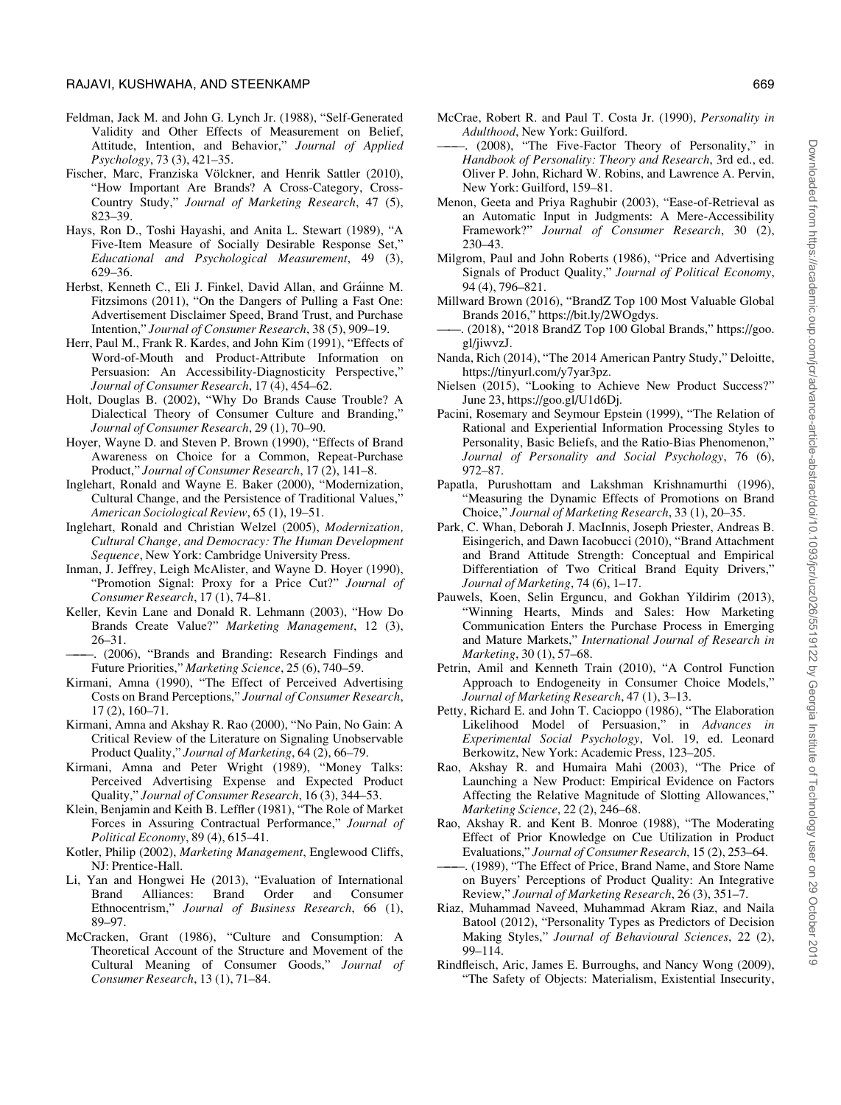- <span id="page-18-0"></span>Feldman, Jack M. and John G. Lynch Jr. (1988), "Self-Generated Validity and Other Effects of Measurement on Belief, Attitude, Intention, and Behavior," Journal of Applied Psychology, 73 (3), 421–35.
- Fischer, Marc, Franziska Völckner, and Henrik Sattler (2010), "How Important Are Brands? A Cross-Category, Cross-Country Study," Journal of Marketing Research, 47 (5), 823–39.
- Hays, Ron D., Toshi Hayashi, and Anita L. Stewart (1989), "A Five-Item Measure of Socially Desirable Response Set," Educational and Psychological Measurement, 49 (3), 629–36.
- Herbst, Kenneth C., Eli J. Finkel, David Allan, and Gráinne M. Fitzsimons (2011), "On the Dangers of Pulling a Fast One: Advertisement Disclaimer Speed, Brand Trust, and Purchase Intention," Journal of Consumer Research, 38 (5), 909–19.
- Herr, Paul M., Frank R. Kardes, and John Kim (1991), "Effects of Word-of-Mouth and Product-Attribute Information on Persuasion: An Accessibility-Diagnosticity Perspective," Journal of Consumer Research, 17 (4), 454–62.
- Holt, Douglas B. (2002), "Why Do Brands Cause Trouble? A Dialectical Theory of Consumer Culture and Branding," Journal of Consumer Research, 29 (1), 70–90.
- Hoyer, Wayne D. and Steven P. Brown (1990), "Effects of Brand Awareness on Choice for a Common, Repeat-Purchase Product," Journal of Consumer Research, 17 (2), 141–8.
- Inglehart, Ronald and Wayne E. Baker (2000), "Modernization, Cultural Change, and the Persistence of Traditional Values," American Sociological Review, 65 (1), 19–51.
- Inglehart, Ronald and Christian Welzel (2005), Modernization, Cultural Change, and Democracy: The Human Development Sequence, New York: Cambridge University Press.
- Inman, J. Jeffrey, Leigh McAlister, and Wayne D. Hoyer (1990), "Promotion Signal: Proxy for a Price Cut?" Journal of Consumer Research, 17 (1), 74–81.
- Keller, Kevin Lane and Donald R. Lehmann (2003), "How Do Brands Create Value?" Marketing Management, 12 (3), 26–31.
- ———. (2006), "Brands and Branding: Research Findings and Future Priorities," Marketing Science, 25 (6), 740–59.
- Kirmani, Amna (1990), "The Effect of Perceived Advertising Costs on Brand Perceptions," Journal of Consumer Research, 17 (2), 160–71.
- Kirmani, Amna and Akshay R. Rao (2000), "No Pain, No Gain: A Critical Review of the Literature on Signaling Unobservable Product Quality," Journal of Marketing, 64 (2), 66–79.
- Kirmani, Amna and Peter Wright (1989), "Money Talks: Perceived Advertising Expense and Expected Product Quality," Journal of Consumer Research, 16 (3), 344–53.
- Klein, Benjamin and Keith B. Leffler (1981), "The Role of Market Forces in Assuring Contractual Performance," Journal of Political Economy, 89 (4), 615–41.
- Kotler, Philip (2002), Marketing Management, Englewood Cliffs, NJ: Prentice-Hall.
- Li, Yan and Hongwei He (2013), "Evaluation of International Brand Alliances: Brand Order and Consumer Ethnocentrism," Journal of Business Research, 66 (1), 89–97.
- McCracken, Grant (1986), "Culture and Consumption: A Theoretical Account of the Structure and Movement of the Cultural Meaning of Consumer Goods," Journal of Consumer Research, 13 (1), 71–84.
- McCrae, Robert R. and Paul T. Costa Jr. (1990), Personality in Adulthood, New York: Guilford.
- (2008), "The Five-Factor Theory of Personality," in Handbook of Personality: Theory and Research, 3rd ed., ed. Oliver P. John, Richard W. Robins, and Lawrence A. Pervin, New York: Guilford, 159–81.
- Menon, Geeta and Priya Raghubir (2003), "Ease-of-Retrieval as an Automatic Input in Judgments: A Mere-Accessibility Framework?" Journal of Consumer Research, 30 (2), 230–43.
- Milgrom, Paul and John Roberts (1986), "Price and Advertising Signals of Product Quality," Journal of Political Economy, 94 (4), 796–821.
- Millward Brown (2016), "BrandZ Top 100 Most Valuable Global Brands 2016,"<https://bit.ly/2WOgdys>.
- ——. (2018), "2018 BrandZ Top 100 Global Brands," [https://goo.](https://goo.gl/jiwvzJ) [gl/jiwvzJ.](https://goo.gl/jiwvzJ)
- Nanda, Rich (2014), "The 2014 American Pantry Study," Deloitte, [https://tinyurl.com/y7yar3pz.](https://tinyurl.com/y7yar3pz)
- Nielsen (2015), "Looking to Achieve New Product Success?" June 23, [https://goo.gl/U1d6Dj.](https://goo.gl/U1d6Dj)
- Pacini, Rosemary and Seymour Epstein (1999), "The Relation of Rational and Experiential Information Processing Styles to Personality, Basic Beliefs, and the Ratio-Bias Phenomenon," Journal of Personality and Social Psychology, 76 (6), 972–87.
- Papatla, Purushottam and Lakshman Krishnamurthi (1996), "Measuring the Dynamic Effects of Promotions on Brand Choice," Journal of Marketing Research, 33 (1), 20–35.
- Park, C. Whan, Deborah J. MacInnis, Joseph Priester, Andreas B. Eisingerich, and Dawn Iacobucci (2010), "Brand Attachment and Brand Attitude Strength: Conceptual and Empirical Differentiation of Two Critical Brand Equity Drivers," Journal of Marketing, 74 (6), 1–17.
- Pauwels, Koen, Selin Erguncu, and Gokhan Yildirim (2013), "Winning Hearts, Minds and Sales: How Marketing Communication Enters the Purchase Process in Emerging and Mature Markets," International Journal of Research in Marketing, 30 (1), 57–68.
- Petrin, Amil and Kenneth Train (2010), "A Control Function Approach to Endogeneity in Consumer Choice Models," Journal of Marketing Research, 47 (1), 3–13.
- Petty, Richard E. and John T. Cacioppo (1986), "The Elaboration Likelihood Model of Persuasion," in Advances in Experimental Social Psychology, Vol. 19, ed. Leonard Berkowitz, New York: Academic Press, 123–205.
- Rao, Akshay R. and Humaira Mahi (2003), "The Price of Launching a New Product: Empirical Evidence on Factors Affecting the Relative Magnitude of Slotting Allowances," Marketing Science, 22 (2), 246–68.
- Rao, Akshay R. and Kent B. Monroe (1988), "The Moderating Effect of Prior Knowledge on Cue Utilization in Product Evaluations," Journal of Consumer Research, 15 (2), 253–64.
- ———. (1989), "The Effect of Price, Brand Name, and Store Name on Buyers' Perceptions of Product Quality: An Integrative Review," Journal of Marketing Research, 26 (3), 351–7.
- Riaz, Muhammad Naveed, Muhammad Akram Riaz, and Naila Batool (2012), "Personality Types as Predictors of Decision Making Styles," Journal of Behavioural Sciences, 22 (2), 99–114.
- Rindfleisch, Aric, James E. Burroughs, and Nancy Wong (2009), "The Safety of Objects: Materialism, Existential Insecurity,